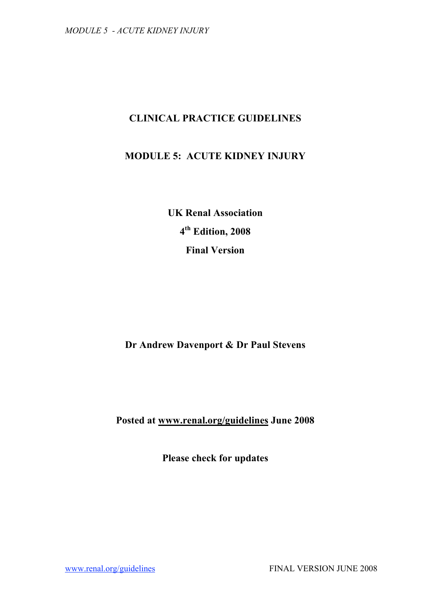# **CLINICAL PRACTICE GUIDELINES**

# **MODULE 5: ACUTE KIDNEY INJURY**

**UK Renal Association 4th Edition, 2008 Final Version**

# **Dr Andrew Davenport & Dr Paul Stevens**

# **Posted at www.renal.org/guidelines June 2008**

**Please check for updates**

www.renal.org/guidelines FINAL VERSION JUNE 2008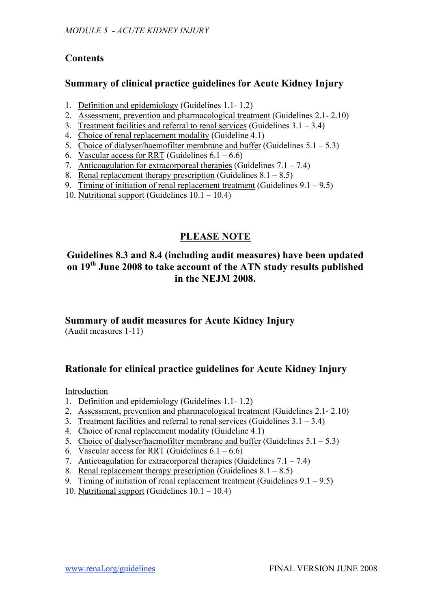# **Contents**

## **Summary of clinical practice guidelines for Acute Kidney Injury**

- 1. Definition and epidemiology (Guidelines 1.1- 1.2)
- 2. Assessment, prevention and pharmacological treatment (Guidelines 2.1- 2.10)
- 3. Treatment facilities and referral to renal services (Guidelines  $3.1 3.4$ )
- 4. Choice of renal replacement modality (Guideline 4.1)
- 5. Choice of dialyser/haemofilter membrane and buffer (Guidelines  $5.1 5.3$ )
- 6. Vascular access for RRT (Guidelines  $6.1 6.6$ )
- 7. Anticoagulation for extracorporeal therapies (Guidelines  $7.1 7.4$ )
- 8. Renal replacement therapy prescription (Guidelines  $8.1 8.5$ )
- 9. Timing of initiation of renal replacement treatment (Guidelines  $9.1 9.5$ )
- 10. Nutritional support (Guidelines 10.1 10.4)

# **PLEASE NOTE**

# **Guidelines 8.3 and 8.4 (including audit measures) have been updated on 19th June 2008 to take account of the ATN study results published in the NEJM 2008.**

# **Summary of audit measures for Acute Kidney Injury**

(Audit measures 1-11)

# **Rationale for clinical practice guidelines for Acute Kidney Injury**

Introduction

- 1. Definition and epidemiology (Guidelines 1.1- 1.2)
- 2. Assessment, prevention and pharmacological treatment (Guidelines 2.1- 2.10)
- 3. Treatment facilities and referral to renal services (Guidelines  $3.1 3.4$ )
- 4. Choice of renal replacement modality (Guideline 4.1)
- 5. Choice of dialyser/haemofilter membrane and buffer (Guidelines  $5.1 5.3$ )
- 6. Vascular access for RRT (Guidelines  $6.1 6.6$ )
- 7. Anticoagulation for extracorporeal therapies (Guidelines  $7.1 7.4$ )
- 8. Renal replacement therapy prescription (Guidelines  $8.1 8.5$ )
- 9. Timing of initiation of renal replacement treatment (Guidelines  $9.1 9.5$ )
- 10. Nutritional support (Guidelines 10.1 10.4)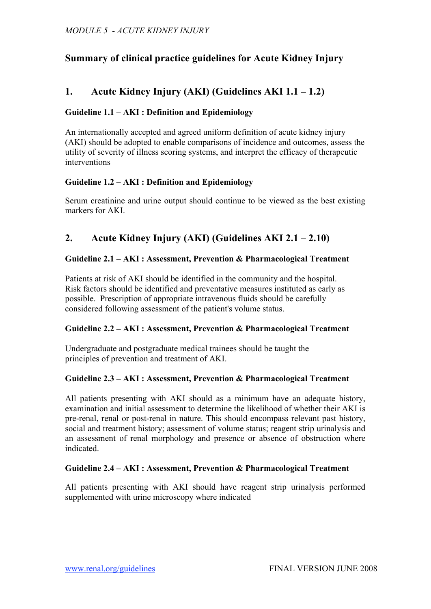# **Summary of clinical practice guidelines for Acute Kidney Injury**

# **1. Acute Kidney Injury (AKI) (Guidelines AKI 1.1 – 1.2)**

## **Guideline 1.1 – AKI : Definition and Epidemiology**

An internationally accepted and agreed uniform definition of acute kidney injury (AKI) should be adopted to enable comparisons of incidence and outcomes, assess the utility of severity of illness scoring systems, and interpret the efficacy of therapeutic interventions

## **Guideline 1.2 – AKI : Definition and Epidemiology**

Serum creatinine and urine output should continue to be viewed as the best existing markers for AKI.

# **2. Acute Kidney Injury (AKI) (Guidelines AKI 2.1 – 2.10)**

## **Guideline 2.1 – AKI : Assessment, Prevention & Pharmacological Treatment**

Patients at risk of AKI should be identified in the community and the hospital. Risk factors should be identified and preventative measures instituted as early as possible. Prescription of appropriate intravenous fluids should be carefully considered following assessment of the patient's volume status.

## **Guideline 2.2 – AKI : Assessment, Prevention & Pharmacological Treatment**

Undergraduate and postgraduate medical trainees should be taught the principles of prevention and treatment of AKI.

## **Guideline 2.3 – AKI : Assessment, Prevention & Pharmacological Treatment**

All patients presenting with AKI should as a minimum have an adequate history, examination and initial assessment to determine the likelihood of whether their AKI is pre-renal, renal or post-renal in nature. This should encompass relevant past history, social and treatment history; assessment of volume status; reagent strip urinalysis and an assessment of renal morphology and presence or absence of obstruction where indicated.

## **Guideline 2.4 – AKI : Assessment, Prevention & Pharmacological Treatment**

All patients presenting with AKI should have reagent strip urinalysis performed supplemented with urine microscopy where indicated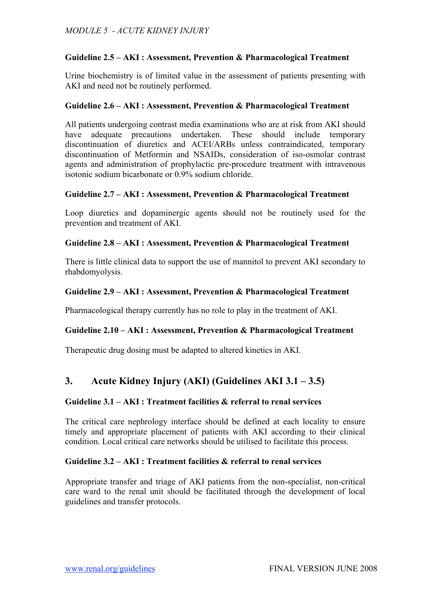## **Guideline 2.5 – AKI : Assessment, Prevention & Pharmacological Treatment**

Urine biochemistry is of limited value in the assessment of patients presenting with AKI and need not be routinely performed.

### **Guideline 2.6 – AKI : Assessment, Prevention & Pharmacological Treatment**

All patients undergoing contrast media examinations who are at risk from AKI should have adequate precautions undertaken. These should include temporary discontinuation of diuretics and ACEI/ARBs unless contraindicated, temporary discontinuation of Metformin and NSAIDs, consideration of iso-osmolar contrast agents and administration of prophylactic pre-procedure treatment with intravenous isotonic sodium bicarbonate or 0.9% sodium chloride.

## **Guideline 2.7 – AKI : Assessment, Prevention & Pharmacological Treatment**

Loop diuretics and dopaminergic agents should not be routinely used for the prevention and treatment of AKI.

## **Guideline 2.8 – AKI : Assessment, Prevention & Pharmacological Treatment**

There is little clinical data to support the use of mannitol to prevent AKI secondary to rhabdomyolysis.

## **Guideline 2.9 – AKI : Assessment, Prevention & Pharmacological Treatment**

Pharmacological therapy currently has no role to play in the treatment of AKI.

## **Guideline 2.10 – AKI : Assessment, Prevention & Pharmacological Treatment**

Therapeutic drug dosing must be adapted to altered kinetics in AKI.

## **3. Acute Kidney Injury (AKI) (Guidelines AKI 3.1 – 3.5)**

### **Guideline 3.1 – AKI : Treatment facilities & referral to renal services**

The critical care nephrology interface should be defined at each locality to ensure timely and appropriate placement of patients with AKI according to their clinical condition. Local critical care networks should be utilised to facilitate this process.

#### **Guideline 3.2 – AKI : Treatment facilities & referral to renal services**

Appropriate transfer and triage of AKI patients from the non-specialist, non-critical care ward to the renal unit should be facilitated through the development of local guidelines and transfer protocols.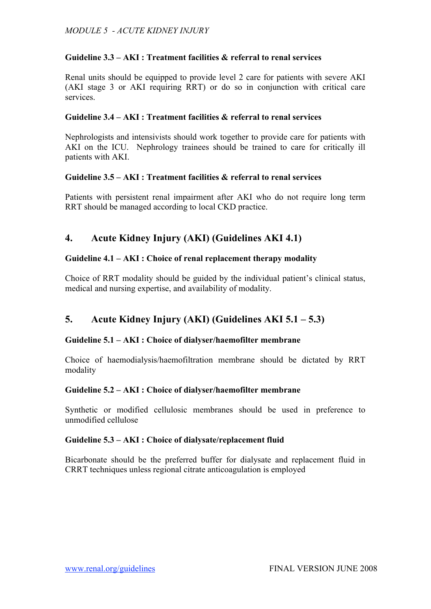## **Guideline 3.3 – AKI : Treatment facilities & referral to renal services**

Renal units should be equipped to provide level 2 care for patients with severe AKI (AKI stage 3 or AKI requiring RRT) or do so in conjunction with critical care services.

## **Guideline 3.4 – AKI : Treatment facilities & referral to renal services**

Nephrologists and intensivists should work together to provide care for patients with AKI on the ICU. Nephrology trainees should be trained to care for critically ill patients with AKI.

## **Guideline 3.5 – AKI : Treatment facilities & referral to renal services**

Patients with persistent renal impairment after AKI who do not require long term RRT should be managed according to local CKD practice.

# **4. Acute Kidney Injury (AKI) (Guidelines AKI 4.1)**

## **Guideline 4.1 – AKI : Choice of renal replacement therapy modality**

Choice of RRT modality should be guided by the individual patient's clinical status, medical and nursing expertise, and availability of modality.

# **5. Acute Kidney Injury (AKI) (Guidelines AKI 5.1 – 5.3)**

## **Guideline 5.1 – AKI : Choice of dialyser/haemofilter membrane**

Choice of haemodialysis/haemofiltration membrane should be dictated by RRT modality

## **Guideline 5.2 – AKI : Choice of dialyser/haemofilter membrane**

Synthetic or modified cellulosic membranes should be used in preference to unmodified cellulose

## **Guideline 5.3 – AKI : Choice of dialysate/replacement fluid**

Bicarbonate should be the preferred buffer for dialysate and replacement fluid in CRRT techniques unless regional citrate anticoagulation is employed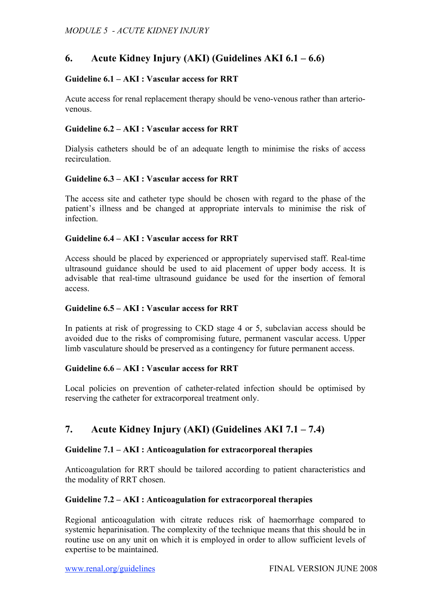## **6. Acute Kidney Injury (AKI) (Guidelines AKI 6.1 – 6.6)**

## **Guideline 6.1 – AKI : Vascular access for RRT**

Acute access for renal replacement therapy should be veno-venous rather than arteriovenous.

### **Guideline 6.2 – AKI : Vascular access for RRT**

Dialysis catheters should be of an adequate length to minimise the risks of access recirculation.

#### **Guideline 6.3 – AKI : Vascular access for RRT**

The access site and catheter type should be chosen with regard to the phase of the patient's illness and be changed at appropriate intervals to minimise the risk of infection.

## **Guideline 6.4 – AKI : Vascular access for RRT**

Access should be placed by experienced or appropriately supervised staff. Real-time ultrasound guidance should be used to aid placement of upper body access. It is advisable that real-time ultrasound guidance be used for the insertion of femoral access.

### **Guideline 6.5 – AKI : Vascular access for RRT**

In patients at risk of progressing to CKD stage 4 or 5, subclavian access should be avoided due to the risks of compromising future, permanent vascular access. Upper limb vasculature should be preserved as a contingency for future permanent access.

#### **Guideline 6.6 – AKI : Vascular access for RRT**

Local policies on prevention of catheter-related infection should be optimised by reserving the catheter for extracorporeal treatment only.

# **7. Acute Kidney Injury (AKI) (Guidelines AKI 7.1 – 7.4)**

#### **Guideline 7.1 – AKI : Anticoagulation for extracorporeal therapies**

Anticoagulation for RRT should be tailored according to patient characteristics and the modality of RRT chosen.

#### **Guideline 7.2 – AKI : Anticoagulation for extracorporeal therapies**

Regional anticoagulation with citrate reduces risk of haemorrhage compared to systemic heparinisation. The complexity of the technique means that this should be in routine use on any unit on which it is employed in order to allow sufficient levels of expertise to be maintained.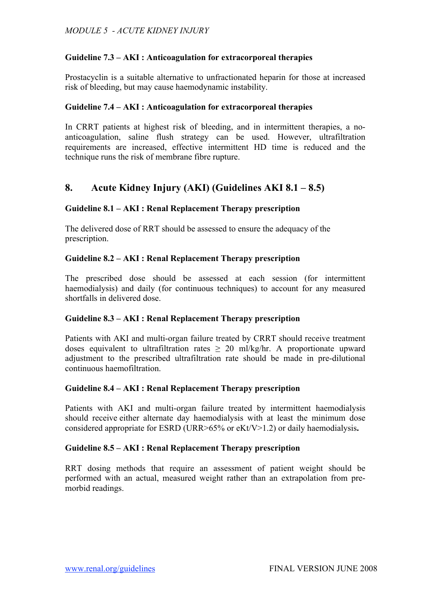## **Guideline 7.3 – AKI : Anticoagulation for extracorporeal therapies**

Prostacyclin is a suitable alternative to unfractionated heparin for those at increased risk of bleeding, but may cause haemodynamic instability.

### **Guideline 7.4 – AKI : Anticoagulation for extracorporeal therapies**

In CRRT patients at highest risk of bleeding, and in intermittent therapies, a noanticoagulation, saline flush strategy can be used. However, ultrafiltration requirements are increased, effective intermittent HD time is reduced and the technique runs the risk of membrane fibre rupture.

## **8. Acute Kidney Injury (AKI) (Guidelines AKI 8.1 – 8.5)**

## **Guideline 8.1 – AKI : Renal Replacement Therapy prescription**

The delivered dose of RRT should be assessed to ensure the adequacy of the prescription.

## **Guideline 8.2 – AKI : Renal Replacement Therapy prescription**

The prescribed dose should be assessed at each session (for intermittent haemodialysis) and daily (for continuous techniques) to account for any measured shortfalls in delivered dose.

#### **Guideline 8.3 – AKI : Renal Replacement Therapy prescription**

Patients with AKI and multi-organ failure treated by CRRT should receive treatment doses equivalent to ultrafiltration rates  $\geq 20$  ml/kg/hr. A proportionate upward adjustment to the prescribed ultrafiltration rate should be made in pre-dilutional continuous haemofiltration.

#### **Guideline 8.4 – AKI : Renal Replacement Therapy prescription**

Patients with AKI and multi-organ failure treated by intermittent haemodialysis should receive either alternate day haemodialysis with at least the minimum dose considered appropriate for ESRD (URR>65% or eKt/V>1.2) or daily haemodialysis**.**

#### **Guideline 8.5 – AKI : Renal Replacement Therapy prescription**

RRT dosing methods that require an assessment of patient weight should be performed with an actual, measured weight rather than an extrapolation from premorbid readings.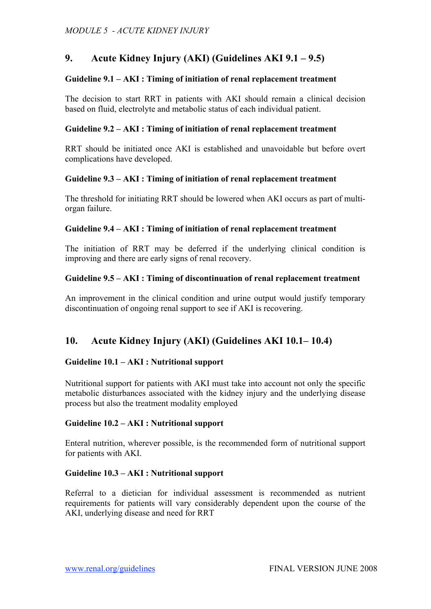# **9. Acute Kidney Injury (AKI) (Guidelines AKI 9.1 – 9.5)**

## **Guideline 9.1 – AKI : Timing of initiation of renal replacement treatment**

The decision to start RRT in patients with AKI should remain a clinical decision based on fluid, electrolyte and metabolic status of each individual patient.

## **Guideline 9.2 – AKI : Timing of initiation of renal replacement treatment**

RRT should be initiated once AKI is established and unavoidable but before overt complications have developed.

## **Guideline 9.3 – AKI : Timing of initiation of renal replacement treatment**

The threshold for initiating RRT should be lowered when AKI occurs as part of multiorgan failure.

## **Guideline 9.4 – AKI : Timing of initiation of renal replacement treatment**

The initiation of RRT may be deferred if the underlying clinical condition is improving and there are early signs of renal recovery.

## **Guideline 9.5 – AKI : Timing of discontinuation of renal replacement treatment**

An improvement in the clinical condition and urine output would justify temporary discontinuation of ongoing renal support to see if AKI is recovering.

## **10. Acute Kidney Injury (AKI) (Guidelines AKI 10.1– 10.4)**

## **Guideline 10.1 – AKI : Nutritional support**

Nutritional support for patients with AKI must take into account not only the specific metabolic disturbances associated with the kidney injury and the underlying disease process but also the treatment modality employed

## **Guideline 10.2 – AKI : Nutritional support**

Enteral nutrition, wherever possible, is the recommended form of nutritional support for patients with AKI.

#### **Guideline 10.3 – AKI : Nutritional support**

Referral to a dietician for individual assessment is recommended as nutrient requirements for patients will vary considerably dependent upon the course of the AKI, underlying disease and need for RRT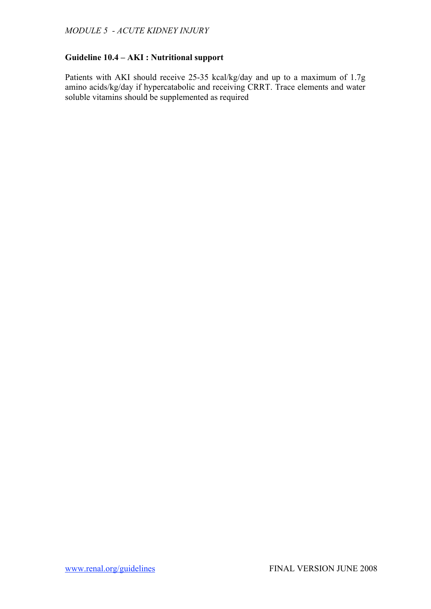## **Guideline 10.4 – AKI : Nutritional support**

Patients with AKI should receive 25-35 kcal/kg/day and up to a maximum of 1.7g amino acids/kg/day if hypercatabolic and receiving CRRT. Trace elements and water soluble vitamins should be supplemented as required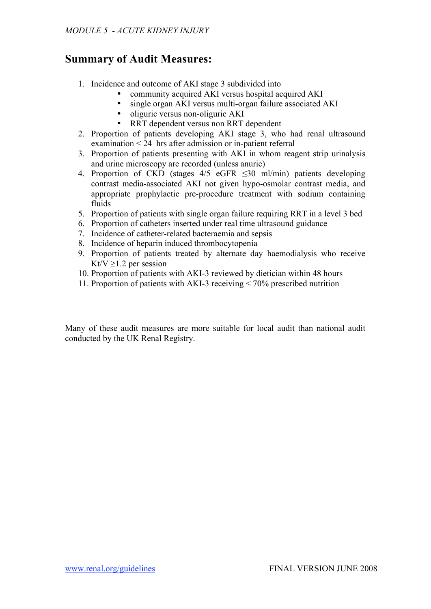# **Summary of Audit Measures:**

- 1. Incidence and outcome of AKI stage 3 subdivided into
	- community acquired AKI versus hospital acquired AKI
	- single organ AKI versus multi-organ failure associated AKI
	- oliguric versus non-oliguric AKI
	- RRT dependent versus non RRT dependent
- 2. Proportion of patients developing AKI stage 3, who had renal ultrasound examination < 24 hrs after admission or in-patient referral
- 3. Proportion of patients presenting with AKI in whom reagent strip urinalysis and urine microscopy are recorded (unless anuric)
- 4. Proportion of CKD (stages  $4/5$  eGFR  $\leq 30$  ml/min) patients developing contrast media-associated AKI not given hypo-osmolar contrast media, and appropriate prophylactic pre-procedure treatment with sodium containing fluids
- 5. Proportion of patients with single organ failure requiring RRT in a level 3 bed
- 6. Proportion of catheters inserted under real time ultrasound guidance
- 7. Incidence of catheter-related bacteraemia and sepsis
- 8. Incidence of heparin induced thrombocytopenia
- 9. Proportion of patients treated by alternate day haemodialysis who receive Kt/V  $\geq$ 1.2 per session
- 10. Proportion of patients with AKI-3 reviewed by dietician within 48 hours
- 11. Proportion of patients with AKI-3 receiving < 70% prescribed nutrition

Many of these audit measures are more suitable for local audit than national audit conducted by the UK Renal Registry.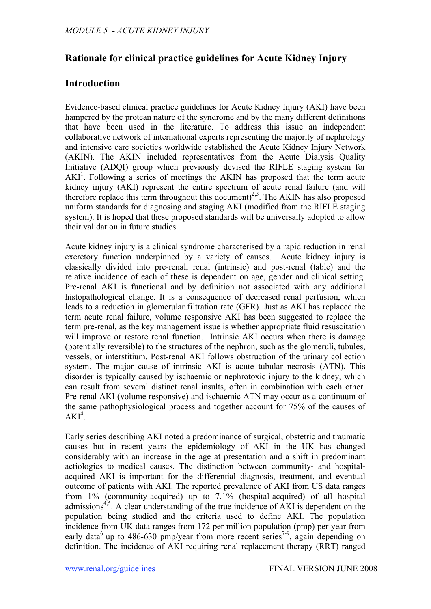# **Rationale for clinical practice guidelines for Acute Kidney Injury**

## **Introduction**

Evidence-based clinical practice guidelines for Acute Kidney Injury (AKI) have been hampered by the protean nature of the syndrome and by the many different definitions that have been used in the literature. To address this issue an independent collaborative network of international experts representing the majority of nephrology and intensive care societies worldwide established the Acute Kidney Injury Network (AKIN). The AKIN included representatives from the Acute Dialysis Quality Initiative (ADQI) group which previously devised the RIFLE staging system for AKI<sup>1</sup>. Following a series of meetings the AKIN has proposed that the term acute kidney injury (AKI) represent the entire spectrum of acute renal failure (and will therefore replace this term throughout this document)<sup>2,3</sup>. The AKIN has also proposed uniform standards for diagnosing and staging AKI (modified from the RIFLE staging system). It is hoped that these proposed standards will be universally adopted to allow their validation in future studies.

Acute kidney injury is a clinical syndrome characterised by a rapid reduction in renal excretory function underpinned by a variety of causes. Acute kidney injury is classically divided into pre-renal, renal (intrinsic) and post-renal (table) and the relative incidence of each of these is dependent on age, gender and clinical setting. Pre-renal AKI is functional and by definition not associated with any additional histopathological change. It is a consequence of decreased renal perfusion, which leads to a reduction in glomerular filtration rate (GFR). Just as AKI has replaced the term acute renal failure, volume responsive AKI has been suggested to replace the term pre-renal, as the key management issue is whether appropriate fluid resuscitation will improve or restore renal function. Intrinsic AKI occurs when there is damage (potentially reversible) to the structures of the nephron, such as the glomeruli, tubules, vessels, or interstitium. Post-renal AKI follows obstruction of the urinary collection system. The major cause of intrinsic AKI is acute tubular necrosis (ATN)**.** This disorder is typically caused by ischaemic or nephrotoxic injury to the kidney, which can result from several distinct renal insults, often in combination with each other. Pre-renal AKI (volume responsive) and ischaemic ATN may occur as a continuum of the same pathophysiological process and together account for 75% of the causes of  $AKI^4$ .

Early series describing AKI noted a predominance of surgical, obstetric and traumatic causes but in recent years the epidemiology of AKI in the UK has changed considerably with an increase in the age at presentation and a shift in predominant aetiologies to medical causes. The distinction between community- and hospitalacquired AKI is important for the differential diagnosis, treatment, and eventual outcome of patients with AKI. The reported prevalence of AKI from US data ranges from 1% (community-acquired) up to 7.1% (hospital-acquired) of all hospital admissions<sup> $4,5$ </sup>. A clear understanding of the true incidence of AKI is dependent on the population being studied and the criteria used to define AKI. The population incidence from UK data ranges from 172 per million population (pmp) per year from early data<sup>6</sup> up to 486-630 pmp/year from more recent series<sup>7-9</sup>, again depending on definition. The incidence of AKI requiring renal replacement therapy (RRT) ranged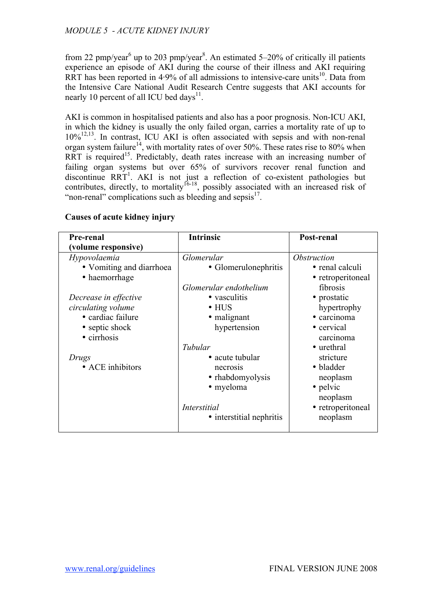from 22 pmp/year<sup>6</sup> up to 203 pmp/year<sup>8</sup>. An estimated 5–20% of critically ill patients experience an episode of AKI during the course of their illness and AKI requiring RRT has been reported in  $4.9\%$  of all admissions to intensive-care units<sup>10</sup>. Data from the Intensive Care National Audit Research Centre suggests that AKI accounts for nearly 10 percent of all ICU bed days $^{11}$ .

AKI is common in hospitalised patients and also has a poor prognosis. Non-ICU AKI, in which the kidney is usually the only failed organ, carries a mortality rate of up to 10%12,13 . In contrast, ICU AKI is often associated with sepsis and with non-renal organ system failure<sup>14</sup>, with mortality rates of over 50%. These rates rise to 80% when RRT is required<sup>15</sup>. Predictably, death rates increase with an increasing number of failing organ systems but over 65% of survivors recover renal function and discontinue RRT<sup>1</sup>. AKI is not just a reflection of co-existent pathologies but contributes, directly, to mortality  $16-18$ , possibly associated with an increased risk of "non-renal" complications such as bleeding and sepsis $17$ .

| Pre-renal                | <b>Intrinsic</b>         | Post-renal         |
|--------------------------|--------------------------|--------------------|
| (volume responsive)      |                          |                    |
| Hypovolaemia             | Glomerular               | <i>Obstruction</i> |
| • Vomiting and diarrhoea | • Glomerulonephritis     | • renal calculi    |
| • haemorrhage            |                          | • retroperitoneal  |
|                          | Glomerular endothelium   | fibrosis           |
| Decrease in effective    | • vasculitis             | • prostatic        |
| circulating volume       | $\bullet$ HUS            | hypertrophy        |
| • cardiac failure        | • malignant              | · carcinoma        |
| • septic shock           | hypertension             | • cervical         |
| • cirrhosis              |                          | carcinoma          |
|                          | Tubular                  | • urethral         |
| Drugs                    | • acute tubular          | stricture          |
| • ACE inhibitors         | necrosis                 | • bladder          |
|                          | • rhabdomyolysis         | neoplasm           |
|                          | • myeloma                | • pelvic           |
|                          |                          | neoplasm           |
|                          | <i>Interstitial</i>      | • retroperitoneal  |
|                          | • interstitial nephritis | neoplasm           |
|                          |                          |                    |

#### **Causes of acute kidney injury**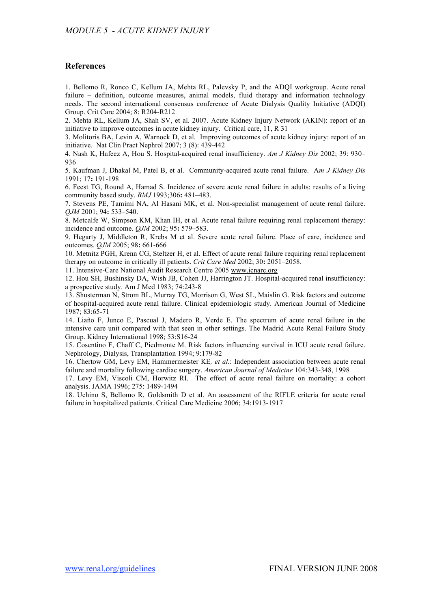#### **References**

1. Bellomo R, Ronco C, Kellum JA, Mehta RL, Palevsky P, and the ADQI workgroup. Acute renal failure – definition, outcome measures, animal models, fluid therapy and information technology needs. The second international consensus conference of Acute Dialysis Quality Initiative (ADQI) Group. Crit Care 2004; 8: R204-R212

2. Mehta RL, Kellum JA, Shah SV, et al. 2007. Acute Kidney Injury Network (AKIN): report of an initiative to improve outcomes in acute kidney injury. Critical care, 11, R 31

3. Molitoris BA, Levin A, Warnock D, et al. Improving outcomes of acute kidney injury: report of an initiative. Nat Clin Pract Nephrol 2007; 3 (8): 439-442

4. Nash K, Hafeez A, Hou S. Hospital-acquired renal insufficiency. *Am J Kidney Dis* 2002; 39: 930– 936

5. Kaufman J, Dhakal M, Patel B, et al. Community-acquired acute renal failure. A*m J Kidney Dis* 1991; 17**:** 191-198

6. Feest TG, Round A, Hamad S. Incidence of severe acute renal failure in adults: results of a living community based study. *BMJ* 1993;306**:** 481–483.

7. Stevens PE, Tamimi NA, Al Hasani MK, et al. Non-specialist management of acute renal failure. *QJM* 2001; 94**:** 533–540.

8. Metcalfe W, Simpson KM, Khan IH, et al. Acute renal failure requiring renal replacement therapy: incidence and outcome. *QJM* 2002; 95**:** 579–583.

9. Hegarty J, Middleton R, Krebs M et al. Severe acute renal failure. Place of care, incidence and outcomes. *QJM* 2005; 98**:** 661-666

10. Metnitz PGH, Krenn CG, Steltzer H, et al. Effect of acute renal failure requiring renal replacement therapy on outcome in critically ill patients. *Crit Care Med* 2002; 30**:** 2051–2058.

11. Intensive-Care National Audit Research Centre 2005 www.icnarc.org

12. Hou SH, Bushinsky DA, Wish JB, Cohen JJ, Harrington JT. Hospital-acquired renal insufficiency: a prospective study. Am J Med 1983; 74:243-8

13. Shusterman N, Strom BL, Murray TG, Morrison G, West SL, Maislin G. Risk factors and outcome of hospital-acquired acute renal failure. Clinical epidemiologic study. American Journal of Medicine 1987; 83:65-71

14. Liaño F, Junco E, Pascual J, Madero R, Verde E. The spectrum of acute renal failure in the intensive care unit compared with that seen in other settings. The Madrid Acute Renal Failure Study Group. Kidney International 1998; 53:S16-24

15. Cosentino F, Chaff C, Piedmonte M. Risk factors influencing survival in ICU acute renal failure. Nephrology, Dialysis, Transplantation 1994; 9:179-82

16. Chertow GM, Levy EM, Hammermeister KE*, et al.*: Independent association between acute renal failure and mortality following cardiac surgery. *American Journal of Medicine* 104:343-348, 1998

17. Levy EM, Viscoli CM, Horwitz RI. The effect of acute renal failure on mortality: a cohort analysis. JAMA 1996; 275: 1489-1494

18. Uchino S, Bellomo R, Goldsmith D et al. An assessment of the RIFLE criteria for acute renal failure in hospitalized patients. Critical Care Medicine 2006; 34:1913-1917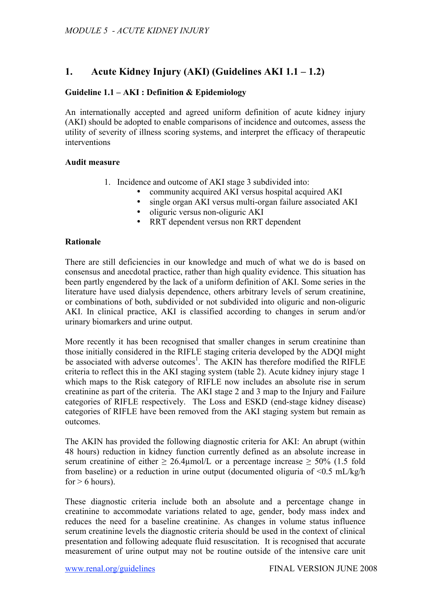# **1. Acute Kidney Injury (AKI) (Guidelines AKI 1.1 – 1.2)**

## **Guideline 1.1 – AKI : Definition & Epidemiology**

An internationally accepted and agreed uniform definition of acute kidney injury (AKI) should be adopted to enable comparisons of incidence and outcomes, assess the utility of severity of illness scoring systems, and interpret the efficacy of therapeutic interventions

## **Audit measure**

- 1. Incidence and outcome of AKI stage 3 subdivided into:
	- community acquired AKI versus hospital acquired AKI
	- single organ AKI versus multi-organ failure associated AKI
	- oliguric versus non-oliguric AKI
	- RRT dependent versus non RRT dependent

## **Rationale**

There are still deficiencies in our knowledge and much of what we do is based on consensus and anecdotal practice, rather than high quality evidence. This situation has been partly engendered by the lack of a uniform definition of AKI. Some series in the literature have used dialysis dependence, others arbitrary levels of serum creatinine, or combinations of both, subdivided or not subdivided into oliguric and non-oliguric AKI. In clinical practice, AKI is classified according to changes in serum and/or urinary biomarkers and urine output.

More recently it has been recognised that smaller changes in serum creatinine than those initially considered in the RIFLE staging criteria developed by the ADQI might be associated with adverse outcomes<sup>1</sup>. The AKIN has therefore modified the RIFLE criteria to reflect this in the AKI staging system (table 2). Acute kidney injury stage 1 which maps to the Risk category of RIFLE now includes an absolute rise in serum creatinine as part of the criteria. The AKI stage 2 and 3 map to the Injury and Failure categories of RIFLE respectively. The Loss and ESKD (end-stage kidney disease) categories of RIFLE have been removed from the AKI staging system but remain as outcomes.

The AKIN has provided the following diagnostic criteria for AKI: An abrupt (within 48 hours) reduction in kidney function currently defined as an absolute increase in serum creatinine of either  $\geq 26.4$ umol/L or a percentage increase  $\geq 50\%$  (1.5 fold from baseline) or a reduction in urine output (documented oliguria of <0.5 mL/kg/h for  $> 6$  hours).

These diagnostic criteria include both an absolute and a percentage change in creatinine to accommodate variations related to age, gender, body mass index and reduces the need for a baseline creatinine. As changes in volume status influence serum creatinine levels the diagnostic criteria should be used in the context of clinical presentation and following adequate fluid resuscitation. It is recognised that accurate measurement of urine output may not be routine outside of the intensive care unit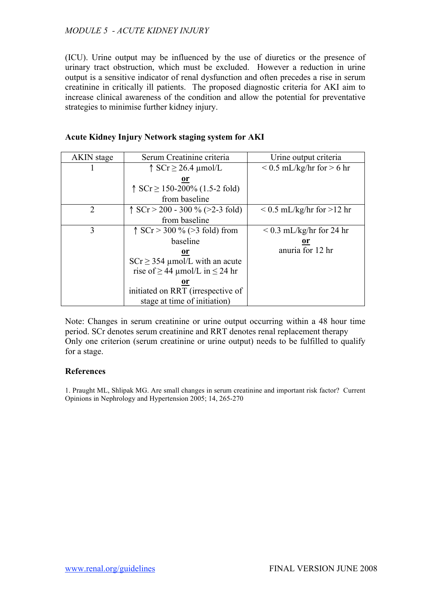(ICU). Urine output may be influenced by the use of diuretics or the presence of urinary tract obstruction, which must be excluded. However a reduction in urine output is a sensitive indicator of renal dysfunction and often precedes a rise in serum creatinine in critically ill patients. The proposed diagnostic criteria for AKI aim to increase clinical awareness of the condition and allow the potential for preventative strategies to minimise further kidney injury.

| <b>AKIN</b> stage | Serum Creatinine criteria                   | Urine output criteria            |
|-------------------|---------------------------------------------|----------------------------------|
|                   | $\uparrow$ SCr $\geq$ 26.4 µmol/L           | $\leq$ 0.5 mL/kg/hr for $>$ 6 hr |
|                   | <u>or</u>                                   |                                  |
|                   | $\uparrow$ SCr $\geq$ 150-200% (1.5-2 fold) |                                  |
|                   | from baseline                               |                                  |
| 2                 | $\uparrow$ SCr > 200 - 300 % (>2-3 fold)    | $\leq$ 0.5 mL/kg/hr for $>12$ hr |
|                   | from baseline                               |                                  |
| 3                 | $\uparrow$ SCr > 300 % (>3 fold) from       | $< 0.3$ mL/kg/hr for 24 hr       |
|                   | baseline                                    | <u>or</u>                        |
|                   | <u>or</u>                                   | anuria for 12 hr                 |
|                   | $SCr \geq 354$ µmol/L with an acute         |                                  |
|                   | rise of $\geq$ 44 µmol/L in $\leq$ 24 hr    |                                  |
|                   | or                                          |                                  |
|                   | initiated on RRT (irrespective of           |                                  |
|                   | stage at time of initiation)                |                                  |

## **Acute Kidney Injury Network staging system for AKI**

Note: Changes in serum creatinine or urine output occurring within a 48 hour time period. SCr denotes serum creatinine and RRT denotes renal replacement therapy Only one criterion (serum creatinine or urine output) needs to be fulfilled to qualify for a stage.

### **References**

1. Praught ML, Shlipak MG. Are small changes in serum creatinine and important risk factor? Current Opinions in Nephrology and Hypertension 2005; 14, 265-270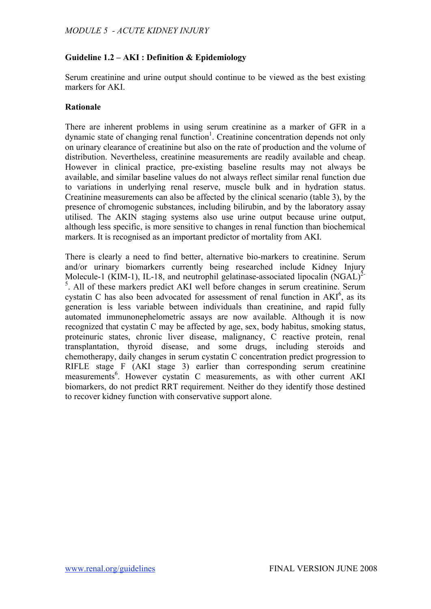## **Guideline 1.2 – AKI : Definition & Epidemiology**

Serum creatinine and urine output should continue to be viewed as the best existing markers for AKI.

## **Rationale**

There are inherent problems in using serum creatinine as a marker of GFR in a dynamic state of changing renal function<sup>1</sup>. Creatinine concentration depends not only on urinary clearance of creatinine but also on the rate of production and the volume of distribution. Nevertheless, creatinine measurements are readily available and cheap. However in clinical practice, pre-existing baseline results may not always be available, and similar baseline values do not always reflect similar renal function due to variations in underlying renal reserve, muscle bulk and in hydration status. Creatinine measurements can also be affected by the clinical scenario (table 3), by the presence of chromogenic substances, including bilirubin, and by the laboratory assay utilised. The AKIN staging systems also use urine output because urine output, although less specific, is more sensitive to changes in renal function than biochemical markers. It is recognised as an important predictor of mortality from AKI.

There is clearly a need to find better, alternative bio-markers to creatinine. Serum and/or urinary biomarkers currently being researched include Kidney Injury Molecule-1 (KIM-1), IL-18, and neutrophil gelatinase-associated lipocalin  $(NGAL)^2$ <sup>5</sup>. All of these markers predict AKI well before changes in serum creatinine. Serum cystatin C has also been advocated for assessment of renal function in  $AKI^6$ , as its generation is less variable between individuals than creatinine, and rapid fully automated immunonephelometric assays are now available. Although it is now recognized that cystatin C may be affected by age, sex, body habitus, smoking status, proteinuric states, chronic liver disease, malignancy, C reactive protein, renal transplantation, thyroid disease, and some drugs, including steroids and chemotherapy, daily changes in serum cystatin C concentration predict progression to RIFLE stage F (AKI stage 3) earlier than corresponding serum creatinine measurements<sup>6</sup>. However cystatin C measurements, as with other current AKI biomarkers, do not predict RRT requirement. Neither do they identify those destined to recover kidney function with conservative support alone.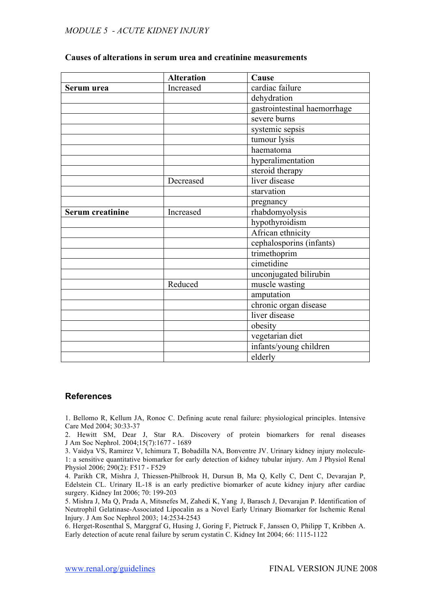|                  | <b>Alteration</b> | Cause                        |
|------------------|-------------------|------------------------------|
| Serum urea       | Increased         | cardiac failure              |
|                  |                   | dehydration                  |
|                  |                   | gastrointestinal haemorrhage |
|                  |                   | severe burns                 |
|                  |                   | systemic sepsis              |
|                  |                   | tumour lysis                 |
|                  |                   | haematoma                    |
|                  |                   | hyperalimentation            |
|                  |                   | steroid therapy              |
|                  | Decreased         | liver disease                |
|                  |                   | starvation                   |
|                  |                   | pregnancy                    |
| Serum creatinine | Increased         | rhabdomyolysis               |
|                  |                   | hypothyroidism               |
|                  |                   | African ethnicity            |
|                  |                   | cephalosporins (infants)     |
|                  |                   | trimethoprim                 |
|                  |                   | cimetidine                   |
|                  |                   | unconjugated bilirubin       |
|                  | Reduced           | muscle wasting               |
|                  |                   | amputation                   |
|                  |                   | chronic organ disease        |
|                  |                   | liver disease                |
|                  |                   | obesity                      |
|                  |                   | vegetarian diet              |
|                  |                   | infants/young children       |
|                  |                   | elderly                      |

#### **Causes of alterations in serum urea and creatinine measurements**

#### **References**

1. Bellomo R, Kellum JA, Ronoc C. Defining acute renal failure: physiological principles. Intensive Care Med 2004; 30:33-37

2. Hewitt SM, Dear J, Star RA. Discovery of protein biomarkers for renal diseases J Am Soc Nephrol. 2004;15(7):1677 - 1689

3. Vaidya VS, Ramirez V, Ichimura T, Bobadilla NA, Bonventre JV. Urinary kidney injury molecule-1: a sensitive quantitative biomarker for early detection of kidney tubular injury. Am J Physiol Renal Physiol 2006; 290(2): F517 - F529

4. Parikh CR, Mishra J, Thiessen-Philbrook H, Dursun B, Ma Q, Kelly C, Dent C, Devarajan P, Edelstein CL. Urinary IL-18 is an early predictive biomarker of acute kidney injury after cardiac surgery. Kidney Int 2006; 70: 199-203

5. Mishra J, Ma Q, Prada A, Mitsnefes M, Zahedi K, Yang J, Barasch J, Devarajan P. Identification of Neutrophil Gelatinase-Associated Lipocalin as a Novel Early Urinary Biomarker for Ischemic Renal Injury. J Am Soc Nephrol 2003; 14:2534-2543

6. Herget-Rosenthal S, Marggraf G, Husing J, Goring F, Pietruck F, Janssen O, Philipp T, Kribben A. Early detection of acute renal failure by serum cystatin C. Kidney Int 2004; 66: 1115-1122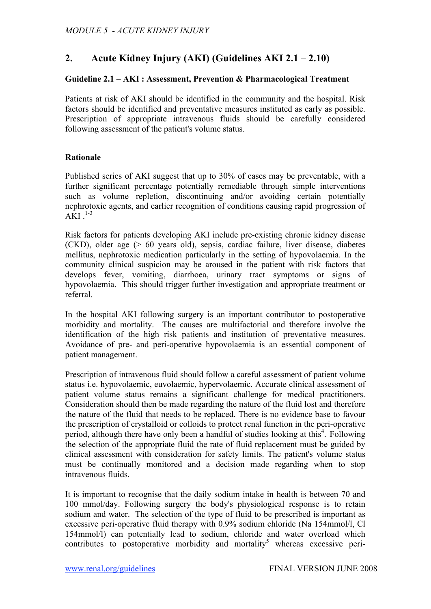# **2. Acute Kidney Injury (AKI) (Guidelines AKI 2.1 – 2.10)**

### **Guideline 2.1 – AKI : Assessment, Prevention & Pharmacological Treatment**

Patients at risk of AKI should be identified in the community and the hospital. Risk factors should be identified and preventative measures instituted as early as possible. Prescription of appropriate intravenous fluids should be carefully considered following assessment of the patient's volume status.

## **Rationale**

Published series of AKI suggest that up to 30% of cases may be preventable, with a further significant percentage potentially remediable through simple interventions such as volume repletion, discontinuing and/or avoiding certain potentially nephrotoxic agents, and earlier recognition of conditions causing rapid progression of  $AKI$ <sup>1-3</sup>

Risk factors for patients developing AKI include pre-existing chronic kidney disease (CKD), older age (> 60 years old), sepsis, cardiac failure, liver disease, diabetes mellitus, nephrotoxic medication particularly in the setting of hypovolaemia. In the community clinical suspicion may be aroused in the patient with risk factors that develops fever, vomiting, diarrhoea, urinary tract symptoms or signs of hypovolaemia. This should trigger further investigation and appropriate treatment or referral.

In the hospital AKI following surgery is an important contributor to postoperative morbidity and mortality. The causes are multifactorial and therefore involve the identification of the high risk patients and institution of preventative measures. Avoidance of pre- and peri-operative hypovolaemia is an essential component of patient management.

Prescription of intravenous fluid should follow a careful assessment of patient volume status i.e. hypovolaemic, euvolaemic, hypervolaemic. Accurate clinical assessment of patient volume status remains a significant challenge for medical practitioners. Consideration should then be made regarding the nature of the fluid lost and therefore the nature of the fluid that needs to be replaced. There is no evidence base to favour the prescription of crystalloid or colloids to protect renal function in the peri-operative period, although there have only been a handful of studies looking at this<sup>4</sup>. Following the selection of the appropriate fluid the rate of fluid replacement must be guided by clinical assessment with consideration for safety limits. The patient's volume status must be continually monitored and a decision made regarding when to stop intravenous fluids.

It is important to recognise that the daily sodium intake in health is between 70 and 100 mmol/day. Following surgery the body's physiological response is to retain sodium and water. The selection of the type of fluid to be prescribed is important as excessive peri-operative fluid therapy with 0.9% sodium chloride (Na 154mmol/l, Cl 154mmol/l) can potentially lead to sodium, chloride and water overload which contributes to postoperative morbidity and mortality<sup>5</sup> whereas excessive peri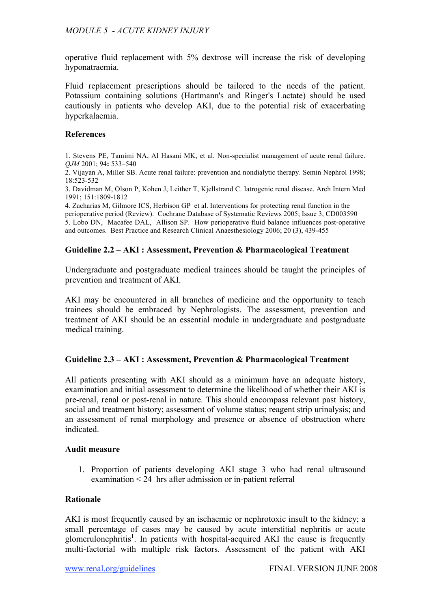operative fluid replacement with 5% dextrose will increase the risk of developing hyponatraemia.

Fluid replacement prescriptions should be tailored to the needs of the patient. Potassium containing solutions (Hartmann's and Ringer's Lactate) should be used cautiously in patients who develop AKI, due to the potential risk of exacerbating hyperkalaemia.

#### **References**

1. Stevens PE, Tamimi NA, Al Hasani MK, et al. Non-specialist management of acute renal failure. *QJM* 2001; 94**:** 533–540

2. Vijayan A, Miller SB. Acute renal failure: prevention and nondialytic therapy. Semin Nephrol 1998; 18:523-532

3. Davidman M, Olson P, Kohen J, Leither T, Kjellstrand C. Iatrogenic renal disease. Arch Intern Med 1991; 151:1809-1812

4. Zacharias M, Gilmore ICS, Herbison GP et al. Interventions for protecting renal function in the perioperative period (Review). Cochrane Database of Systematic Reviews 2005; Issue 3, CD003590 5. Lobo DN, Macafee DAL, Allison SP. How perioperative fluid balance influences post-operative and outcomes. Best Practice and Research Clinical Anaesthesiology 2006; 20 (3), 439-455

## **Guideline 2.2 – AKI : Assessment, Prevention & Pharmacological Treatment**

Undergraduate and postgraduate medical trainees should be taught the principles of prevention and treatment of AKI.

AKI may be encountered in all branches of medicine and the opportunity to teach trainees should be embraced by Nephrologists. The assessment, prevention and treatment of AKI should be an essential module in undergraduate and postgraduate medical training.

#### **Guideline 2.3 – AKI : Assessment, Prevention & Pharmacological Treatment**

All patients presenting with AKI should as a minimum have an adequate history, examination and initial assessment to determine the likelihood of whether their AKI is pre-renal, renal or post-renal in nature. This should encompass relevant past history, social and treatment history; assessment of volume status; reagent strip urinalysis; and an assessment of renal morphology and presence or absence of obstruction where indicated.

#### **Audit measure**

1. Proportion of patients developing AKI stage 3 who had renal ultrasound examination < 24 hrs after admission or in-patient referral

#### **Rationale**

AKI is most frequently caused by an ischaemic or nephrotoxic insult to the kidney; a small percentage of cases may be caused by acute interstitial nephritis or acute glomerulonephritis<sup>1</sup>. In patients with hospital-acquired AKI the cause is frequently multi-factorial with multiple risk factors. Assessment of the patient with AKI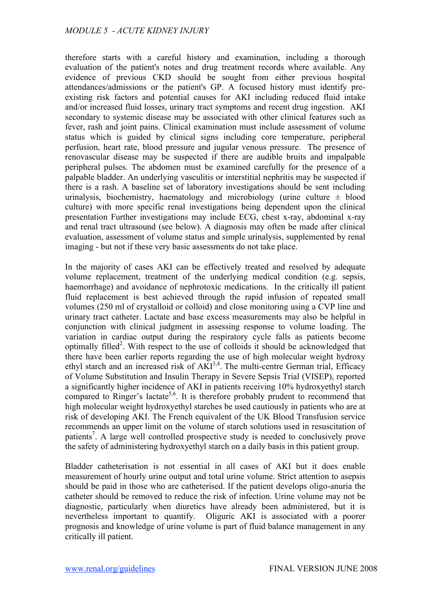therefore starts with a careful history and examination, including a thorough evaluation of the patient's notes and drug treatment records where available. Any evidence of previous CKD should be sought from either previous hospital attendances/admissions or the patient's GP. A focused history must identify preexisting risk factors and potential causes for AKI including reduced fluid intake and/or increased fluid losses, urinary tract symptoms and recent drug ingestion. AKI secondary to systemic disease may be associated with other clinical features such as fever, rash and joint pains. Clinical examination must include assessment of volume status which is guided by clinical signs including core temperature, peripheral perfusion, heart rate, blood pressure and jugular venous pressure. The presence of renovascular disease may be suspected if there are audible bruits and impalpable peripheral pulses. The abdomen must be examined carefully for the presence of a palpable bladder. An underlying vasculitis or interstitial nephritis may be suspected if there is a rash. A baseline set of laboratory investigations should be sent including urinalysis, biochemistry, haematology and microbiology (urine culture  $\pm$  blood culture) with more specific renal investigations being dependent upon the clinical presentation Further investigations may include ECG, chest x-ray, abdominal x-ray and renal tract ultrasound (see below). A diagnosis may often be made after clinical evaluation, assessment of volume status and simple urinalysis, supplemented by renal imaging - but not if these very basic assessments do not take place.

In the majority of cases AKI can be effectively treated and resolved by adequate volume replacement, treatment of the underlying medical condition (e.g. sepsis, haemorrhage) and avoidance of nephrotoxic medications. In the critically ill patient fluid replacement is best achieved through the rapid infusion of repeated small volumes (250 ml of crystalloid or colloid) and close monitoring using a CVP line and urinary tract catheter. Lactate and base excess measurements may also be helpful in conjunction with clinical judgment in assessing response to volume loading. The variation in cardiac output during the respiratory cycle falls as patients become optimally filled<sup>2</sup>. With respect to the use of colloids it should be acknowledged that there have been earlier reports regarding the use of high molecular weight hydroxy ethyl starch and an increased risk of  $AKI<sup>3,4</sup>$ . The multi-centre German trial, Efficacy of Volume Substitution and Insulin Therapy in Severe Sepsis Trial (VISEP), reported a significantly higher incidence of AKI in patients receiving 10% hydroxyethyl starch compared to Ringer's lactate<sup>5,6</sup>. It is therefore probably prudent to recommend that high molecular weight hydroxyethyl starches be used cautiously in patients who are at risk of developing AKI. The French equivalent of the UK Blood Transfusion service recommends an upper limit on the volume of starch solutions used in resuscitation of patients<sup>7</sup>. A large well controlled prospective study is needed to conclusively prove the safety of administering hydroxyethyl starch on a daily basis in this patient group.

Bladder catheterisation is not essential in all cases of AKI but it does enable measurement of hourly urine output and total urine volume. Strict attention to asepsis should be paid in those who are catheterised. If the patient develops oligo-anuria the catheter should be removed to reduce the risk of infection. Urine volume may not be diagnostic, particularly when diuretics have already been administered, but it is nevertheless important to quantify. Oliguric AKI is associated with a poorer prognosis and knowledge of urine volume is part of fluid balance management in any critically ill patient.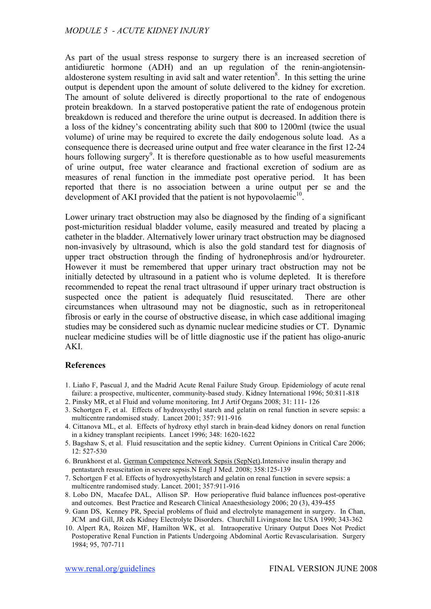As part of the usual stress response to surgery there is an increased secretion of antidiuretic hormone (ADH) and an up regulation of the renin-angiotensinaldosterone system resulting in avid salt and water retention<sup>8</sup>. In this setting the urine output is dependent upon the amount of solute delivered to the kidney for excretion. The amount of solute delivered is directly proportional to the rate of endogenous protein breakdown. In a starved postoperative patient the rate of endogenous protein breakdown is reduced and therefore the urine output is decreased. In addition there is a loss of the kidney's concentrating ability such that 800 to 1200ml (twice the usual volume) of urine may be required to excrete the daily endogenous solute load. As a consequence there is decreased urine output and free water clearance in the first 12-24 hours following surgery<sup>9</sup>. It is therefore questionable as to how useful measurements of urine output, free water clearance and fractional excretion of sodium are as measures of renal function in the immediate post operative period. It has been reported that there is no association between a urine output per se and the development of AKI provided that the patient is not hypovolaemic $10$ .

Lower urinary tract obstruction may also be diagnosed by the finding of a significant post-micturition residual bladder volume, easily measured and treated by placing a catheter in the bladder. Alternatively lower urinary tract obstruction may be diagnosed non-invasively by ultrasound, which is also the gold standard test for diagnosis of upper tract obstruction through the finding of hydronephrosis and/or hydroureter. However it must be remembered that upper urinary tract obstruction may not be initially detected by ultrasound in a patient who is volume depleted. It is therefore recommended to repeat the renal tract ultrasound if upper urinary tract obstruction is suspected once the patient is adequately fluid resuscitated. There are other circumstances when ultrasound may not be diagnostic, such as in retroperitoneal fibrosis or early in the course of obstructive disease, in which case additional imaging studies may be considered such as dynamic nuclear medicine studies or CT. Dynamic nuclear medicine studies will be of little diagnostic use if the patient has oligo-anuric AKI.

#### **References**

- 1. Liaño F, Pascual J, and the Madrid Acute Renal Failure Study Group. Epidemiology of acute renal failure: a prospective, multicenter, community-based study. Kidney International 1996; 50:811-818
- 2. Pinsky MR, et al Fluid and volume monitoring. Int J Artif Organs 2008; 31: 111- 126
- 3. Schortgen F, et al. Effects of hydroxyethyl starch and gelatin on renal function in severe sepsis: a multicentre randomised study. Lancet 2001; 357: 911-916
- 4. Cittanova ML, et al. Effects of hydroxy ethyl starch in brain-dead kidney donors on renal function in a kidney transplant recipients. Lancet 1996; 348: 1620-1622
- 5. Bagshaw S, et al. Fluid resuscitation and the septic kidney. Current Opinions in Critical Care 2006; 12: 527-530
- 6. Brunkhorst et al. German Competence Network Sepsis (SepNet).Intensive insulin therapy and pentastarch resuscitation in severe sepsis.N Engl J Med. 2008; 358:125-139
- 7. Schortgen F et al. Effects of hydroxyethylstarch and gelatin on renal function in severe sepsis: a multicentre randomised study. Lancet. 2001; 357:911-916
- 8. Lobo DN, Macafee DAL, Allison SP. How perioperative fluid balance influences post-operative and outcomes. Best Practice and Research Clinical Anaesthesiology 2006; 20 (3), 439-455
- 9. Gann DS, Kenney PR, Special problems of fluid and electrolyte management in surgery. In Chan, JCM and Gill, JR eds Kidney Electrolyte Disorders. Churchill Livingstone Inc USA 1990; 343-362
- 10. Alpert RA, Roizen MF, Hamilton WK, et al. Intraoperative Urinary Output Does Not Predict Postoperative Renal Function in Patients Undergoing Abdominal Aortic Revascularisation. Surgery 1984; 95, 707-711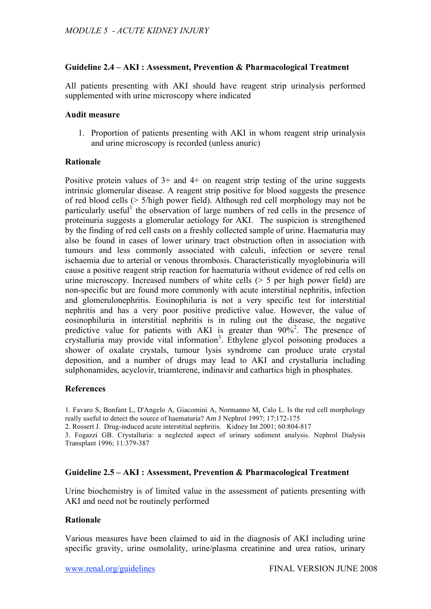### **Guideline 2.4 – AKI : Assessment, Prevention & Pharmacological Treatment**

All patients presenting with AKI should have reagent strip urinalysis performed supplemented with urine microscopy where indicated

#### **Audit measure**

1. Proportion of patients presenting with AKI in whom reagent strip urinalysis and urine microscopy is recorded (unless anuric)

#### **Rationale**

Positive protein values of  $3+$  and  $4+$  on reagent strip testing of the urine suggests intrinsic glomerular disease. A reagent strip positive for blood suggests the presence of red blood cells (> 5/high power field). Although red cell morphology may not be particularly useful<sup>1</sup> the observation of large numbers of red cells in the presence of proteinuria suggests a glomerular aetiology for AKI. The suspicion is strengthened by the finding of red cell casts on a freshly collected sample of urine. Haematuria may also be found in cases of lower urinary tract obstruction often in association with tumours and less commonly associated with calculi, infection or severe renal ischaemia due to arterial or venous thrombosis. Characteristically myoglobinuria will cause a positive reagent strip reaction for haematuria without evidence of red cells on urine microscopy. Increased numbers of white cells (> 5 per high power field) are non-specific but are found more commonly with acute interstitial nephritis, infection and glomerulonephritis. Eosinophiluria is not a very specific test for interstitial nephritis and has a very poor positive predictive value. However, the value of eosinophiluria in interstitial nephritis is in ruling out the disease, the negative predictive value for patients with AKI is greater than  $90\%$ <sup>2</sup>. The presence of crystalluria may provide vital information<sup>3</sup>. Ethylene glycol poisoning produces a shower of oxalate crystals, tumour lysis syndrome can produce urate crystal deposition, and a number of drugs may lead to AKI and crystalluria including sulphonamides, acyclovir, triamterene, indinavir and cathartics high in phosphates.

#### **References**

1. Favaro S, Bonfant L, D'Angelo A, Giacomini A, Normanno M, Calo L. Is the red cell morphology really useful to detect the source of haematuria? Am J Nephrol 1997; 17:172-175

2. Rossert J. Drug-induced acute interstitial nephritis. Kidney Int 2001; 60:804-817

3. Fogazzi GB. Crystalluria: a neglected aspect of urinary sediment analysis. Nephrol Dialysis Transplant 1996; 11:379-387

#### **Guideline 2.5 – AKI : Assessment, Prevention & Pharmacological Treatment**

Urine biochemistry is of limited value in the assessment of patients presenting with AKI and need not be routinely performed

### **Rationale**

Various measures have been claimed to aid in the diagnosis of AKI including urine specific gravity, urine osmolality, urine/plasma creatinine and urea ratios, urinary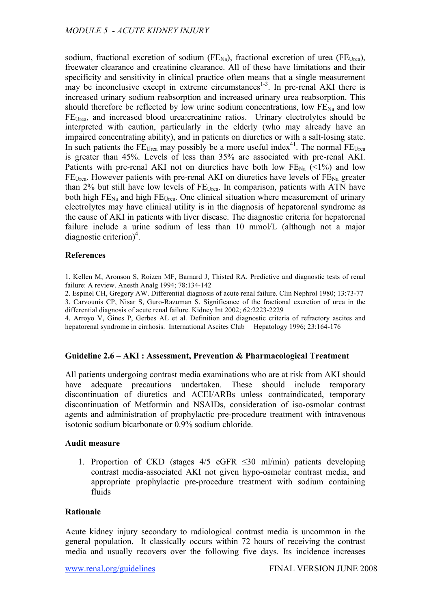sodium, fractional excretion of sodium ( $FE_{Na}$ ), fractional excretion of urea ( $FE_{Urea}$ ), freewater clearance and creatinine clearance. All of these have limitations and their specificity and sensitivity in clinical practice often means that a single measurement may be inconclusive except in extreme circumstances<sup>1-3</sup>. In pre-renal AKI there is increased urinary sodium reabsorption and increased urinary urea reabsorption. This should therefore be reflected by low urine sodium concentrations, low  $FE_{Na}$  and low FEUrea, and increased blood urea:creatinine ratios. Urinary electrolytes should be interpreted with caution, particularly in the elderly (who may already have an impaired concentrating ability), and in patients on diuretics or with a salt-losing state. In such patients the  $\widetilde{FE}_{Urea}$  may possibly be a more useful index<sup>41</sup>. The normal  $\widetilde{FE}_{Urea}$ is greater than 45%. Levels of less than 35% are associated with pre-renal AKI. Patients with pre-renal AKI not on diuretics have both low  $FE_{Na}$  (<1%) and low  $FE_{Urea.}$  However patients with pre-renal AKI on diuretics have levels of  $FE_{Na}$  greater than 2% but still have low levels of  $FE<sub>Urea</sub>$ . In comparison, patients with ATN have both high  $FE_{Na}$  and high  $FE_{Urea}$ . One clinical situation where measurement of urinary electrolytes may have clinical utility is in the diagnosis of hepatorenal syndrome as the cause of AKI in patients with liver disease. The diagnostic criteria for hepatorenal failure include a urine sodium of less than 10 mmol/L (although not a major diagnostic criterion)<sup>4</sup>.

#### **References**

1. Kellen M, Aronson S, Roizen MF, Barnard J, Thisted RA. Predictive and diagnostic tests of renal failure: A review. Anesth Analg 1994; 78:134-142

2. Espinel CH, Gregory AW. Differential diagnosis of acute renal failure. Clin Nephrol 1980; 13:73-77 3. Carvounis CP, Nisar S, Guro-Razuman S. Significance of the fractional excretion of urea in the differential diagnosis of acute renal failure. Kidney Int 2002; 62:2223-2229

4. Arroyo V, Gines P, Gerbes AL et al. Definition and diagnostic criteria of refractory ascites and hepatorenal syndrome in cirrhosis. International Ascites Club Hepatology 1996; 23:164-176

#### **Guideline 2.6 – AKI : Assessment, Prevention & Pharmacological Treatment**

All patients undergoing contrast media examinations who are at risk from AKI should have adequate precautions undertaken. These should include temporary discontinuation of diuretics and ACEI/ARBs unless contraindicated, temporary discontinuation of Metformin and NSAIDs, consideration of iso-osmolar contrast agents and administration of prophylactic pre-procedure treatment with intravenous isotonic sodium bicarbonate or 0.9% sodium chloride.

#### **Audit measure**

1. Proportion of CKD (stages  $4/5$  eGFR  $\leq 30$  ml/min) patients developing contrast media-associated AKI not given hypo-osmolar contrast media, and appropriate prophylactic pre-procedure treatment with sodium containing fluids

#### **Rationale**

Acute kidney injury secondary to radiological contrast media is uncommon in the general population. It classically occurs within 72 hours of receiving the contrast media and usually recovers over the following five days. Its incidence increases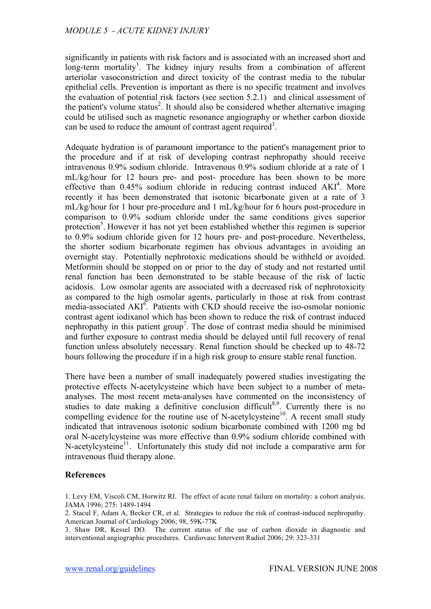significantly in patients with risk factors and is associated with an increased short and long-term mortality<sup>1</sup>. The kidney injury results from a combination of afferent arteriolar vasoconstriction and direct toxicity of the contrast media to the tubular epithelial cells. Prevention is important as there is no specific treatment and involves the evaluation of potential risk factors (see section 5.2.1) and clinical assessment of the patient's volume status<sup>2</sup>. It should also be considered whether alternative imaging could be utilised such as magnetic resonance angiography or whether carbon dioxide can be used to reduce the amount of contrast agent required<sup>3</sup>.

Adequate hydration is of paramount importance to the patient's management prior to the procedure and if at risk of developing contrast nephropathy should receive intravenous 0.9% sodium chloride. Intravenous 0.9% sodium chloride at a rate of 1 mL/kg/hour for 12 hours pre- and post- procedure has been shown to be more effective than  $0.45\%$  sodium chloride in reducing contrast induced  $AKI<sup>4</sup>$ . More recently it has been demonstrated that isotonic bicarbonate given at a rate of 3 mL/kg/hour for 1 hour pre-procedure and 1 mL/kg/hour for 6 hours post-procedure in comparison to 0.9% sodium chloride under the same conditions gives superior protection<sup>5</sup>. However it has not yet been established whether this regimen is superior to 0.9% sodium chloride given for 12 hours pre- and post-procedure. Nevertheless, the shorter sodium bicarbonate regimen has obvious advantages in avoiding an overnight stay. Potentially nephrotoxic medications should be withheld or avoided. Metformin should be stopped on or prior to the day of study and not restarted until renal function has been demonstrated to be stable because of the risk of lactic acidosis. Low osmolar agents are associated with a decreased risk of nephrotoxicity as compared to the high osmolar agents, particularly in those at risk from contrast media-associated  $AKI^6$ . Patients with CKD should receive the iso-osmolar nonionic contrast agent iodixanol which has been shown to reduce the risk of contrast induced nephropathy in this patient group<sup>7</sup>. The dose of contrast media should be minimised and further exposure to contrast media should be delayed until full recovery of renal function unless absolutely necessary. Renal function should be checked up to 48-72 hours following the procedure if in a high risk group to ensure stable renal function.

There have been a number of small inadequately powered studies investigating the protective effects N-acetylcysteine which have been subject to a number of metaanalyses. The most recent meta-analyses have commented on the inconsistency of studies to date making a definitive conclusion difficult<sup>8,9</sup>. Currently there is no compelling evidence for the routine use of N-acetylcysteine<sup>10</sup>. A recent small study indicated that intravenous isotonic sodium bicarbonate combined with 1200 mg bd oral N-acetylcysteine was more effective than 0.9% sodium chloride combined with N-acetylcysteine<sup>11</sup>. Unfortunately this study did not include a comparative arm for intravenous fluid therapy alone.

#### **References**

1. Levy EM, Viscoli CM, Horwitz RI. The effect of acute renal failure on mortality: a cohort analysis. JAMA 1996; 275: 1489-1494

2. Stacul F, Adam A, Becker CR, et al. Strategies to reduce the risk of contrast-induced nephropathy. American Journal of Cardiology 2006; 98, 59K-77K

3. Shaw DR, Kessel DO. The current status of the use of carbon dioxide in diagnostic and interventional angiographic procedures. Cardiovasc Intervent Radiol 2006; 29: 323-331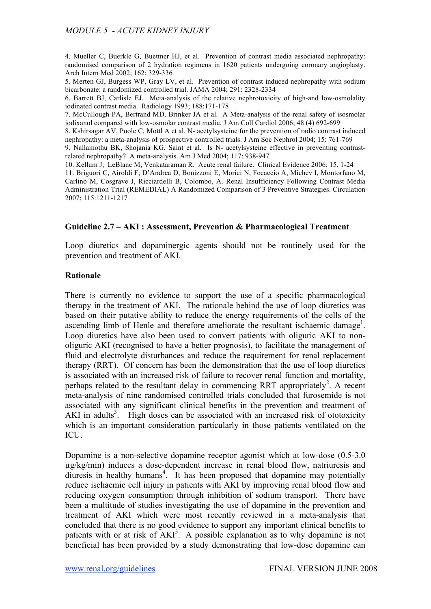4. Mueller C, Buerkle G, Buettner HJ, et al. Prevention of contrast media associated nephropathy: randomised comparison of 2 hydration regimens in 1620 patients undergoing coronary angioplasty. Arch Intern Med 2002; 162: 329-336

5. Merten GJ, Burgess WP, Gray LV, et al. Prevention of contrast induced nephropathy with sodium bicarbonate: a randomized controlled trial. JAMA 2004; 291: 2328-2334

6. Barrett BJ, Carlisle EJ. Meta-analysis of the relative nephrotoxicity of high-and low-osmolality iodinated contrast media. Radiology 1993; 188:171-178

7. McCullough PA, Bertrand MD, Brinker JA et al. A Meta-analysis of the renal safety of isosmolar iodixanol compared with low-osmolar contrast media. J Am Coll Cardiol 2006; 48 (4) 692-699

8. Kshirsagar AV, Poole C, Mottl A et al. N- acetylsysteine for the prevention of radio contrast induced nephropathy: a meta-analysis of prospective controlled trials. J Am Soc Nephrol 2004; 15: 761-769

9. Nallamothu BK, Shojania KG, Saint et al. Is N- acetylsysteine effective in preventing contrastrelated nephropathy? A meta-analysis. Am J Med 2004; 117: 938-947

10. Kellum J, LeBlanc M, Venkataraman R. Acute renal failure. Clinical Evidence 2006; 15, 1-24 11. Briguori C, Airoldi F, D'Andrea D, Bonizzoni E, Morici N, Focaccio A, Michev I, Montorfano M, Carlino M, Cosgrave J, Ricciardelli B, Colombo, A. Renal Insufficiency Following Contrast Media Administration Trial (REMEDIAL) A Randomized Comparison of 3 Preventive Strategies. Circulation 2007; 115:1211-1217

#### **Guideline 2.7 – AKI : Assessment, Prevention & Pharmacological Treatment**

Loop diuretics and dopaminergic agents should not be routinely used for the prevention and treatment of AKI.

#### **Rationale**

There is currently no evidence to support the use of a specific pharmacological therapy in the treatment of AKI. The rationale behind the use of loop diuretics was based on their putative ability to reduce the energy requirements of the cells of the ascending limb of Henle and therefore ameliorate the resultant ischaemic damage<sup>1</sup>. Loop diuretics have also been used to convert patients with oliguric AKI to nonoliguric AKI (recognised to have a better prognosis), to facilitate the management of fluid and electrolyte disturbances and reduce the requirement for renal replacement therapy (RRT). Of concern has been the demonstration that the use of loop diuretics is associated with an increased risk of failure to recover renal function and mortality, perhaps related to the resultant delay in commencing RRT appropriately<sup>2</sup>. A recent meta-analysis of nine randomised controlled trials concluded that furosemide is not associated with any significant clinical benefits in the prevention and treatment of AKI in adults<sup>3</sup>. High doses can be associated with an increased risk of ototoxicity which is an important consideration particularly in those patients ventilated on the ICU.

Dopamine is a non-selective dopamine receptor agonist which at low-dose (0.5-3.0 µg/kg/min) induces a dose-dependent increase in renal blood flow, natriuresis and diuresis in healthy humans<sup>4</sup>. It has been proposed that dopamine may potentially reduce ischaemic cell injury in patients with AKI by improving renal blood flow and reducing oxygen consumption through inhibition of sodium transport. There have been a multitude of studies investigating the use of dopamine in the prevention and treatment of AKI which were most recently reviewed in a meta-analysis that concluded that there is no good evidence to support any important clinical benefits to patients with or at risk of  $AKI<sup>5</sup>$ . A possible explanation as to why dopamine is not beneficial has been provided by a study demonstrating that low-dose dopamine can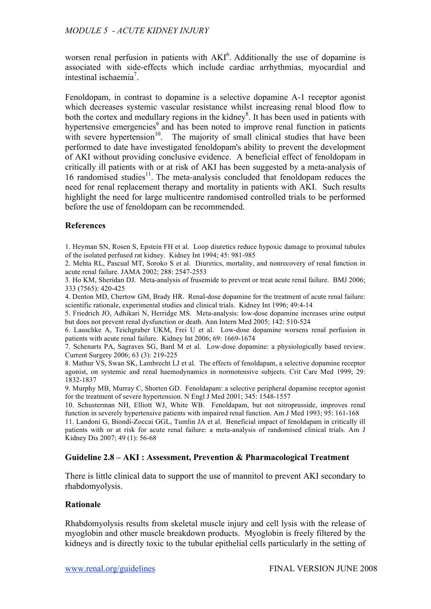worsen renal perfusion in patients with  $AKI<sup>6</sup>$ . Additionally the use of dopamine is associated with side-effects which include cardiac arrhythmias, myocardial and intestinal ischaemia<sup>7</sup>.

Fenoldopam, in contrast to dopamine is a selective dopamine A-1 receptor agonist which decreases systemic vascular resistance whilst increasing renal blood flow to both the cortex and medullary regions in the kidney<sup>8</sup>. It has been used in patients with hypertensive emergencies<sup>9</sup> and has been noted to improve renal function in patients with severe hypertension $10$ . The majority of small clinical studies that have been performed to date have investigated fenoldopam's ability to prevent the development of AKI without providing conclusive evidence. A beneficial effect of fenoldopam in critically ill patients with or at risk of AKI has been suggested by a meta-analysis of 16 randomised studies<sup>11</sup>. The meta-analysis concluded that fenoldopam reduces the need for renal replacement therapy and mortality in patients with AKI. Such results highlight the need for large multicentre randomised controlled trials to be performed before the use of fenoldopam can be recommended.

## **References**

1. Heyman SN, Rosen S, Epstein FH et al. Loop diuretics reduce hypoxic damage to proximal tubules of the isolated perfused rat kidney. Kidney Int 1994; 45: 981-985

2. Mehta RL, Pascual MT, Soroko S et al. Diuretics, mortality, and nonrecovery of renal function in acute renal failure. JAMA 2002; 288: 2547-2553

3. Ho KM, Sheridan DJ. Meta-analysis of frusemide to prevent or treat acute renal failure. BMJ 2006; 333 (7565): 420-425

4. Denton MD, Chertow GM, Brady HR. Renal-dose dopamine for the treatment of acute renal failure: scientific rationale, experimental studies and clinical trials. Kidney Int 1996; 49:4-14

5. Friedrich JO, Adhikari N, Herridge MS. Meta-analysis: low-dose dopamine increases urine output but does not prevent renal dysfunction or death. Ann Intern Med 2005; 142: 510-524

6. Lauschke A, Teichgraber UKM, Frei U et al. Low-dose dopamine worsens renal perfusion in patients with acute renal failure. Kidney Int 2006; 69: 1669-1674

7. Schenarts PA, Sagraves SG, Bard M et al. Low-dose dopamine: a physiologically based review. Current Surgery 2006; 63 (3): 219-225

8. Mathur VS, Swan SK, Lambrecht LJ et al. The effects of fenoldapam, a selective dopamine receptor agonist, on systemic and renal haemodynamics in normotensive subjects. Crit Care Med 1999; 29: 1832-1837

9. Murphy MB, Murray C, Shorten GD. Fenoldapam: a selective peripheral dopamine receptor agonist for the treatment of severe hypertension. N Engl J Med 2001; 345: 1548-1557

10. Schusterman NH, Elliott WJ, White WB. Fenoldapam, but not nitroprusside, improves renal function in severely hypertensive patients with impaired renal function. Am J Med 1993; 95: 161-168

11. Landoni G, Biondi-Zoccai GGL, Tumlin JA et al. Beneficial impact of fenoldapam in critically ill patients with or at risk for acute renal failure: a meta-analysis of randomised clinical trials. Am J Kidney Dis 2007; 49 (1): 56-68

#### **Guideline 2.8 – AKI : Assessment, Prevention & Pharmacological Treatment**

There is little clinical data to support the use of mannitol to prevent AKI secondary to rhabdomyolysis.

#### **Rationale**

Rhabdomyolysis results from skeletal muscle injury and cell lysis with the release of myoglobin and other muscle breakdown products. Myoglobin is freely filtered by the kidneys and is directly toxic to the tubular epithelial cells particularly in the setting of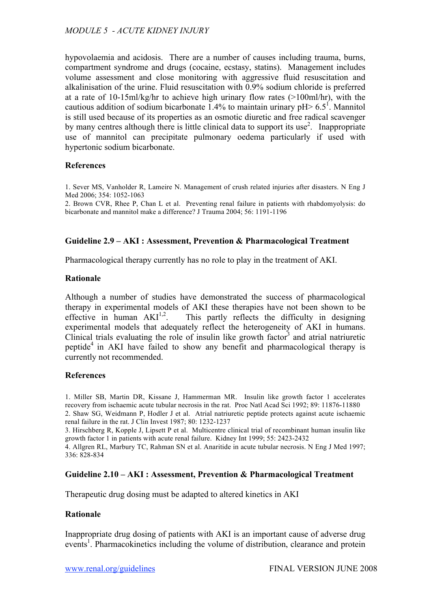hypovolaemia and acidosis. There are a number of causes including trauma, burns, compartment syndrome and drugs (cocaine, ecstasy, statins). Management includes volume assessment and close monitoring with aggressive fluid resuscitation and alkalinisation of the urine. Fluid resuscitation with 0.9% sodium chloride is preferred at a rate of 10-15ml/kg/hr to achieve high urinary flow rates (>100ml/hr), with the cautious addition of sodium bicarbonate 1.4% to maintain urinary  $pH > 6.5^{\circ}$ . Mannitol is still used because of its properties as an osmotic diuretic and free radical scavenger by many centres although there is little clinical data to support its use<sup>2</sup>. Inappropriate use of mannitol can precipitate pulmonary oedema particularly if used with hypertonic sodium bicarbonate.

#### **References**

1. Sever MS, Vanholder R, Lameire N. Management of crush related injuries after disasters. N Eng J Med 2006; 354: 1052-1063

2. Brown CVR, Rhee P, Chan L et al. Preventing renal failure in patients with rhabdomyolysis: do bicarbonate and mannitol make a difference? J Trauma 2004; 56: 1191-1196

#### **Guideline 2.9 – AKI : Assessment, Prevention & Pharmacological Treatment**

Pharmacological therapy currently has no role to play in the treatment of AKI.

#### **Rationale**

Although a number of studies have demonstrated the success of pharmacological therapy in experimental models of AKI these therapies have not been shown to be effective in human  $AKI^{1,2}$ . . This partly reflects the difficulty in designing experimental models that adequately reflect the heterogeneity of AKI in humans. Clinical trials evaluating the role of insulin like growth factor<sup>3</sup> and atrial natriuretic peptide<sup>4</sup> in AKI have failed to show any benefit and pharmacological therapy is currently not recommended.

#### **References**

1. Miller SB, Martin DR, Kissane J, Hammerman MR. Insulin like growth factor 1 accelerates recovery from ischaemic acute tubular necrosis in the rat. Proc Natl Acad Sci 1992; 89: 11876-11880 2. Shaw SG, Weidmann P, Hodler J et al. Atrial natriuretic peptide protects against acute ischaemic renal failure in the rat. J Clin Invest 1987; 80: 1232-1237

3. Hirschberg R, Kopple J, Lipsett P et al. Multicentre clinical trial of recombinant human insulin like growth factor 1 in patients with acute renal failure. Kidney Int 1999; 55: 2423-2432

4. Allgren RL, Marbury TC, Rahman SN et al. Anaritide in acute tubular necrosis. N Eng J Med 1997; 336: 828-834

#### **Guideline 2.10 – AKI : Assessment, Prevention & Pharmacological Treatment**

Therapeutic drug dosing must be adapted to altered kinetics in AKI

#### **Rationale**

Inappropriate drug dosing of patients with AKI is an important cause of adverse drug events<sup>1</sup>. Pharmacokinetics including the volume of distribution, clearance and protein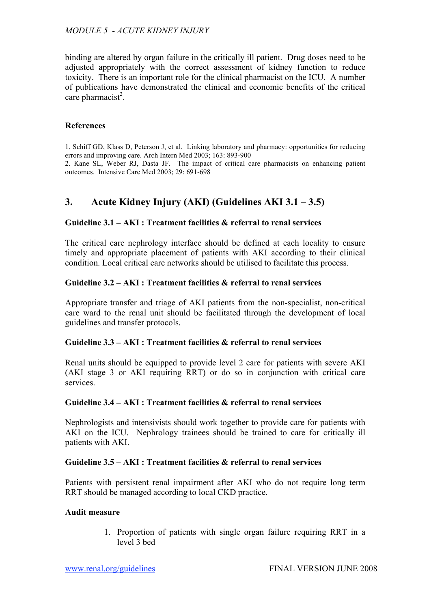binding are altered by organ failure in the critically ill patient. Drug doses need to be adjusted appropriately with the correct assessment of kidney function to reduce toxicity. There is an important role for the clinical pharmacist on the ICU. A number of publications have demonstrated the clinical and economic benefits of the critical care pharmacist<sup>2</sup>.

## **References**

1. Schiff GD, Klass D, Peterson J, et al. Linking laboratory and pharmacy: opportunities for reducing errors and improving care. Arch Intern Med 2003; 163: 893-900

2. Kane SL, Weber RJ, Dasta JF. The impact of critical care pharmacists on enhancing patient outcomes. Intensive Care Med 2003; 29: 691-698

# **3. Acute Kidney Injury (AKI) (Guidelines AKI 3.1 – 3.5)**

## **Guideline 3.1 – AKI : Treatment facilities & referral to renal services**

The critical care nephrology interface should be defined at each locality to ensure timely and appropriate placement of patients with AKI according to their clinical condition. Local critical care networks should be utilised to facilitate this process.

## **Guideline 3.2 – AKI : Treatment facilities & referral to renal services**

Appropriate transfer and triage of AKI patients from the non-specialist, non-critical care ward to the renal unit should be facilitated through the development of local guidelines and transfer protocols.

#### **Guideline 3.3 – AKI : Treatment facilities & referral to renal services**

Renal units should be equipped to provide level 2 care for patients with severe AKI (AKI stage 3 or AKI requiring RRT) or do so in conjunction with critical care services.

#### **Guideline 3.4 – AKI : Treatment facilities & referral to renal services**

Nephrologists and intensivists should work together to provide care for patients with AKI on the ICU. Nephrology trainees should be trained to care for critically ill patients with AKI.

## **Guideline 3.5 – AKI : Treatment facilities & referral to renal services**

Patients with persistent renal impairment after AKI who do not require long term RRT should be managed according to local CKD practice.

## **Audit measure**

1. Proportion of patients with single organ failure requiring RRT in a level 3 bed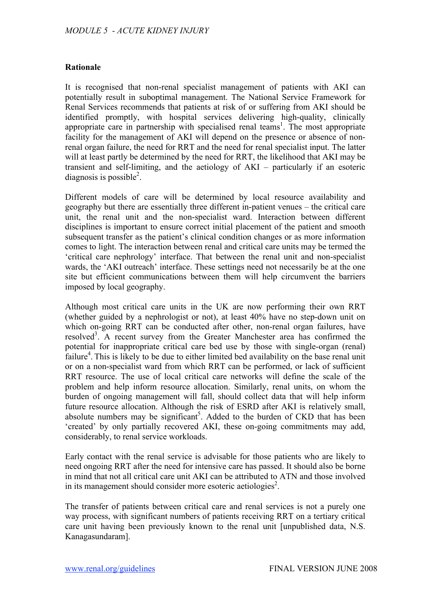## **Rationale**

It is recognised that non-renal specialist management of patients with AKI can potentially result in suboptimal management. The National Service Framework for Renal Services recommends that patients at risk of or suffering from AKI should be identified promptly, with hospital services delivering high-quality, clinically appropriate care in partnership with specialised renal teams<sup>1</sup>. The most appropriate facility for the management of AKI will depend on the presence or absence of nonrenal organ failure, the need for RRT and the need for renal specialist input. The latter will at least partly be determined by the need for RRT, the likelihood that AKI may be transient and self-limiting, and the aetiology of AKI – particularly if an esoteric diagnosis is possible<sup>2</sup>.

Different models of care will be determined by local resource availability and geography but there are essentially three different in-patient venues – the critical care unit, the renal unit and the non-specialist ward. Interaction between different disciplines is important to ensure correct initial placement of the patient and smooth subsequent transfer as the patient's clinical condition changes or as more information comes to light. The interaction between renal and critical care units may be termed the 'critical care nephrology' interface. That between the renal unit and non-specialist wards, the 'AKI outreach' interface. These settings need not necessarily be at the one site but efficient communications between them will help circumvent the barriers imposed by local geography.

Although most critical care units in the UK are now performing their own RRT (whether guided by a nephrologist or not), at least 40% have no step-down unit on which on-going RRT can be conducted after other, non-renal organ failures, have resolved<sup>3</sup>. A recent survey from the Greater Manchester area has confirmed the potential for inappropriate critical care bed use by those with single-organ (renal) failure<sup>4</sup>. This is likely to be due to either limited bed availability on the base renal unit or on a non-specialist ward from which RRT can be performed, or lack of sufficient RRT resource. The use of local critical care networks will define the scale of the problem and help inform resource allocation. Similarly, renal units, on whom the burden of ongoing management will fall, should collect data that will help inform future resource allocation. Although the risk of ESRD after AKI is relatively small, absolute numbers may be significant<sup>5</sup>. Added to the burden of CKD that has been 'created' by only partially recovered AKI, these on-going commitments may add, considerably, to renal service workloads.

Early contact with the renal service is advisable for those patients who are likely to need ongoing RRT after the need for intensive care has passed. It should also be borne in mind that not all critical care unit AKI can be attributed to ATN and those involved in its management should consider more esoteric aetiologies<sup>2</sup>.

The transfer of patients between critical care and renal services is not a purely one way process, with significant numbers of patients receiving RRT on a tertiary critical care unit having been previously known to the renal unit [unpublished data, N.S. Kanagasundaram].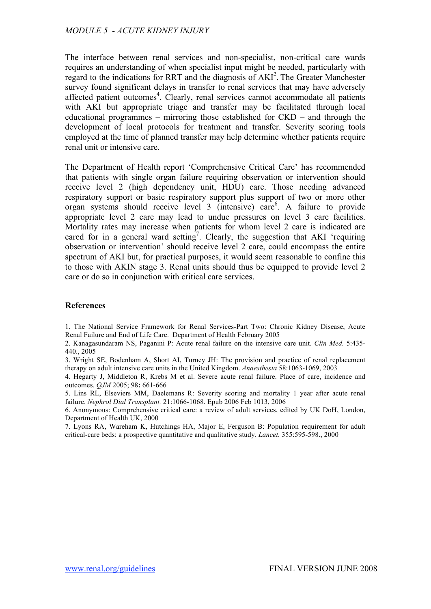The interface between renal services and non-specialist, non-critical care wards requires an understanding of when specialist input might be needed, particularly with regard to the indications for RRT and the diagnosis of AKI<sup>2</sup>. The Greater Manchester survey found significant delays in transfer to renal services that may have adversely affected patient outcomes<sup>4</sup>. Clearly, renal services cannot accommodate all patients with AKI but appropriate triage and transfer may be facilitated through local educational programmes – mirroring those established for CKD – and through the development of local protocols for treatment and transfer. Severity scoring tools employed at the time of planned transfer may help determine whether patients require renal unit or intensive care.

The Department of Health report 'Comprehensive Critical Care' has recommended that patients with single organ failure requiring observation or intervention should receive level 2 (high dependency unit, HDU) care. Those needing advanced respiratory support or basic respiratory support plus support of two or more other organ systems should receive level 3 (intensive) care6 . A failure to provide appropriate level 2 care may lead to undue pressures on level 3 care facilities. Mortality rates may increase when patients for whom level 2 care is indicated are cared for in a general ward setting<sup>7</sup>. Clearly, the suggestion that AKI 'requiring observation or intervention' should receive level 2 care, could encompass the entire spectrum of AKI but, for practical purposes, it would seem reasonable to confine this to those with AKIN stage 3. Renal units should thus be equipped to provide level 2 care or do so in conjunction with critical care services.

## **References**

1. The National Service Framework for Renal Services-Part Two: Chronic Kidney Disease, Acute Renal Failure and End of Life Care. Department of Health February 2005

2. Kanagasundaram NS, Paganini P: Acute renal failure on the intensive care unit. *Clin Med.* 5:435- 440., 2005

3. Wright SE, Bodenham A, Short AI, Turney JH: The provision and practice of renal replacement therapy on adult intensive care units in the United Kingdom. *Anaesthesia* 58:1063-1069, 2003

4. Hegarty J, Middleton R, Krebs M et al. Severe acute renal failure. Place of care, incidence and outcomes. *QJM* 2005; 98**:** 661-666

5. Lins RL, Elseviers MM, Daelemans R: Severity scoring and mortality 1 year after acute renal failure. *Nephrol Dial Transplant.* 21:1066-1068. Epub 2006 Feb 1013, 2006

6. Anonymous: Comprehensive critical care: a review of adult services, edited by UK DoH, London, Department of Health UK, 2000

7. Lyons RA, Wareham K, Hutchings HA, Major E, Ferguson B: Population requirement for adult critical-care beds: a prospective quantitative and qualitative study. *Lancet.* 355:595-598., 2000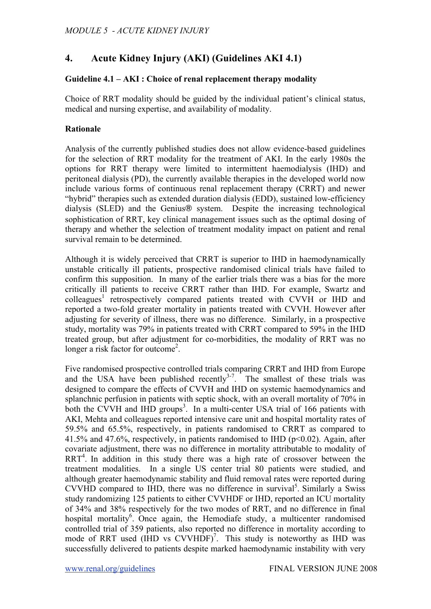# **4. Acute Kidney Injury (AKI) (Guidelines AKI 4.1)**

## **Guideline 4.1 – AKI : Choice of renal replacement therapy modality**

Choice of RRT modality should be guided by the individual patient's clinical status, medical and nursing expertise, and availability of modality.

## **Rationale**

Analysis of the currently published studies does not allow evidence-based guidelines for the selection of RRT modality for the treatment of AKI. In the early 1980s the options for RRT therapy were limited to intermittent haemodialysis (IHD) and peritoneal dialysis (PD), the currently available therapies in the developed world now include various forms of continuous renal replacement therapy (CRRT) and newer "hybrid" therapies such as extended duration dialysis (EDD), sustained low-efficiency dialysis (SLED) and the Genius® system. Despite the increasing technological sophistication of RRT, key clinical management issues such as the optimal dosing of therapy and whether the selection of treatment modality impact on patient and renal survival remain to be determined.

Although it is widely perceived that CRRT is superior to IHD in haemodynamically unstable critically ill patients, prospective randomised clinical trials have failed to confirm this supposition. In many of the earlier trials there was a bias for the more critically ill patients to receive CRRT rather than IHD. For example, Swartz and colleagues<sup>1</sup> retrospectively compared patients treated with CVVH or IHD and reported a two-fold greater mortality in patients treated with CVVH. However after adjusting for severity of illness, there was no difference. Similarly, in a prospective study, mortality was 79% in patients treated with CRRT compared to 59% in the IHD treated group, but after adjustment for co-morbidities, the modality of RRT was no longer a risk factor for outcome<sup>2</sup>.

Five randomised prospective controlled trials comparing CRRT and IHD from Europe and the USA have been published recently<sup>3-7</sup>. The smallest of these trials was designed to compare the effects of CVVH and IHD on systemic haemodynamics and splanchnic perfusion in patients with septic shock, with an overall mortality of 70% in both the CVVH and IHD groups<sup>3</sup>. In a multi-center USA trial of 166 patients with AKI, Mehta and colleagues reported intensive care unit and hospital mortality rates of 59.5% and 65.5%, respectively, in patients randomised to CRRT as compared to 41.5% and 47.6%, respectively, in patients randomised to IHD ( $p<0.02$ ). Again, after covariate adjustment, there was no difference in mortality attributable to modality of  $RRT<sup>4</sup>$ . In addition in this study there was a high rate of crossover between the treatment modalities. In a single US center trial 80 patients were studied, and although greater haemodynamic stability and fluid removal rates were reported during CVVHD compared to IHD, there was no difference in survival<sup>5</sup>. Similarly a Swiss study randomizing 125 patients to either CVVHDF or IHD, reported an ICU mortality of 34% and 38% respectively for the two modes of RRT, and no difference in final hospital mortality<sup>6</sup>. Once again, the Hemodiafe study, a multicenter randomised controlled trial of 359 patients, also reported no difference in mortality according to mode of RRT used  $(HID \text{ vs } CVVHDF)^7$ . This study is noteworthy as IHD was successfully delivered to patients despite marked haemodynamic instability with very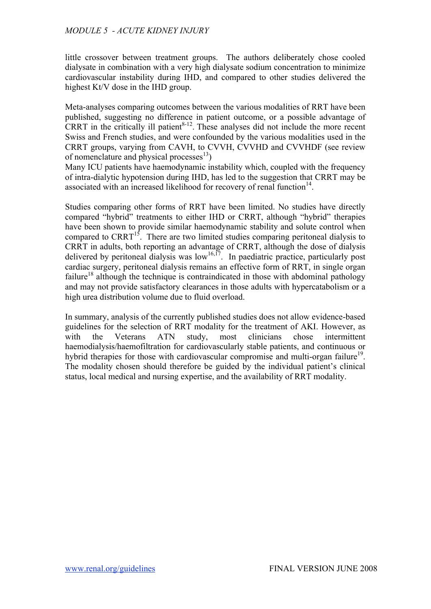little crossover between treatment groups. The authors deliberately chose cooled dialysate in combination with a very high dialysate sodium concentration to minimize cardiovascular instability during IHD, and compared to other studies delivered the highest Kt/V dose in the IHD group.

Meta-analyses comparing outcomes between the various modalities of RRT have been published, suggesting no difference in patient outcome, or a possible advantage of CRRT in the critically ill patient $8-12$ . These analyses did not include the more recent Swiss and French studies, and were confounded by the various modalities used in the CRRT groups, varying from CAVH, to CVVH, CVVHD and CVVHDF (see review of nomenclature and physical processes<sup>13</sup>)

Many ICU patients have haemodynamic instability which, coupled with the frequency of intra-dialytic hypotension during IHD, has led to the suggestion that CRRT may be associated with an increased likelihood for recovery of renal function $14$ .

Studies comparing other forms of RRT have been limited. No studies have directly compared "hybrid" treatments to either IHD or CRRT, although "hybrid" therapies have been shown to provide similar haemodynamic stability and solute control when compared to CRRT<sup>15</sup>. There are two limited studies comparing peritoneal dialysis to CRRT in adults, both reporting an advantage of CRRT, although the dose of dialysis delivered by peritoneal dialysis was  $low<sup>16,17</sup>$ . In paediatric practice, particularly post cardiac surgery, peritoneal dialysis remains an effective form of RRT, in single organ failure<sup>18</sup> although the technique is contraindicated in those with abdominal pathology and may not provide satisfactory clearances in those adults with hypercatabolism or a high urea distribution volume due to fluid overload.

In summary, analysis of the currently published studies does not allow evidence-based guidelines for the selection of RRT modality for the treatment of AKI. However, as with the Veterans ATN study, most clinicians chose intermittent haemodialysis/haemofiltration for cardiovascularly stable patients, and continuous or hybrid therapies for those with cardiovascular compromise and multi-organ failure<sup>19</sup>. The modality chosen should therefore be guided by the individual patient's clinical status, local medical and nursing expertise, and the availability of RRT modality.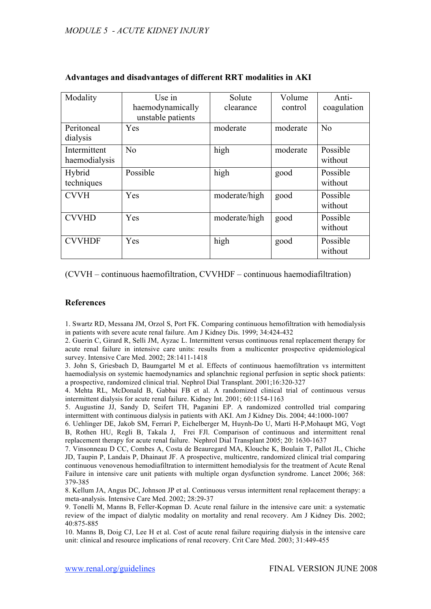| Modality                      | Use in<br>haemodynamically<br>unstable patients | Solute<br>clearance | Volume<br>control | Anti-<br>coagulation |
|-------------------------------|-------------------------------------------------|---------------------|-------------------|----------------------|
| Peritoneal<br>dialysis        | Yes                                             | moderate            | moderate          | N <sub>0</sub>       |
| Intermittent<br>haemodialysis | No                                              | high                | moderate          | Possible<br>without  |
| Hybrid<br>techniques          | Possible                                        | high                | good              | Possible<br>without  |
| <b>CVVH</b>                   | Yes                                             | moderate/high       | good              | Possible<br>without  |
| <b>CVVHD</b>                  | Yes                                             | moderate/high       | good              | Possible<br>without  |
| <b>CVVHDF</b>                 | Yes                                             | high                | good              | Possible<br>without  |

### **Advantages and disadvantages of different RRT modalities in AKI**

(CVVH – continuous haemofiltration, CVVHDF – continuous haemodiafiltration)

#### **References**

1. Swartz RD, Messana JM, Orzol S, Port FK. Comparing continuous hemofiltration with hemodialysis in patients with severe acute renal failure. Am J Kidney Dis. 1999; 34:424-432

2. Guerin C, Girard R, Selli JM, Ayzac L. Intermittent versus continuous renal replacement therapy for acute renal failure in intensive care units: results from a multicenter prospective epidemiological survey. Intensive Care Med. 2002; 28:1411-1418

3. John S, Griesbach D, Baumgartel M et al. Effects of continuous haemofiltration vs intermittent haemodialysis on systemic haemodynamics and splanchnic regional perfusion in septic shock patients: a prospective, randomized clinical trial. Nephrol Dial Transplant. 2001;16:320-327

4. Mehta RL, McDonald B, Gabbai FB et al. A randomized clinical trial of continuous versus intermittent dialysis for acute renal failure. Kidney Int. 2001; 60:1154-1163

5. Augustine JJ, Sandy D, Seifert TH, Paganini EP. A randomized controlled trial comparing intermittent with continuous dialysis in patients with AKI. Am J Kidney Dis. 2004; 44:1000-1007

6. Uehlinger DE, Jakob SM, Ferrari P, Eichelberger M, Huynh-Do U, Marti H-P,Mohaupt MG, Vogt B, Rothen HU, Regli B, Takala J, Frei FJl. Comparison of continuous and intermittent renal replacement therapy for acute renal failure. Nephrol Dial Transplant 2005; 20: 1630-1637

7. Vinsonneau D CC, Combes A, Costa de Beauregard MA, Klouche K, Boulain T, Pallot JL, Chiche JD, Taupin P, Landais P, Dhainaut JF. A prospective, multicentre, randomized clinical trial comparing continuous venovenous hemodiafiltration to intermittent hemodialysis for the treatment of Acute Renal Failure in intensive care unit patients with multiple organ dysfunction syndrome. Lancet 2006; 368: 379-385

8. Kellum JA, Angus DC, Johnson JP et al. Continuous versus intermittent renal replacement therapy: a meta-analysis. Intensive Care Med. 2002; 28:29-37

9. Tonelli M, Manns B, Feller-Kopman D. Acute renal failure in the intensive care unit: a systematic review of the impact of dialytic modality on mortality and renal recovery. Am J Kidney Dis. 2002; 40:875-885

10. Manns B, Doig CJ, Lee H et al. Cost of acute renal failure requiring dialysis in the intensive care unit: clinical and resource implications of renal recovery. Crit Care Med. 2003; 31:449-455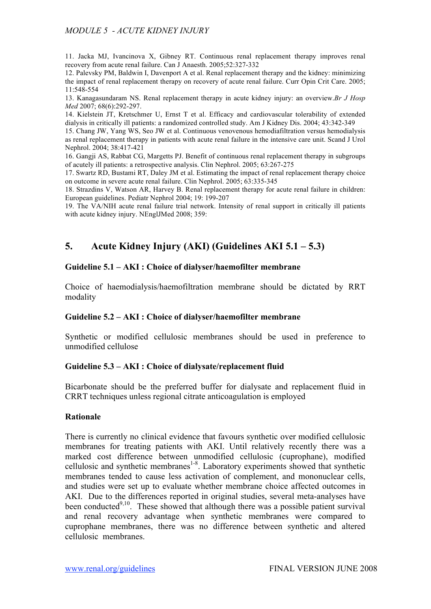11. Jacka MJ, Ivancinova X, Gibney RT. Continuous renal replacement therapy improves renal recovery from acute renal failure. Can J Anaesth. 2005;52:327-332

12. Palevsky PM, Baldwin I, Davenport A et al. Renal replacement therapy and the kidney: minimizing the impact of renal replacement therapy on recovery of acute renal failure. Curr Opin Crit Care. 2005; 11:548-554

13. Kanagasundaram NS. Renal replacement therapy in acute kidney injury: an overview.*Br J Hosp Med* 2007; 68(6):292-297.

14. Kielstein JT, Kretschmer U, Ernst T et al. Efficacy and cardiovascular tolerability of extended dialysis in critically ill patients: a randomized controlled study. Am J Kidney Dis. 2004; 43:342-349

15. Chang JW, Yang WS, Seo JW et al. Continuous venovenous hemodiafiltration versus hemodialysis as renal replacement therapy in patients with acute renal failure in the intensive care unit. Scand J Urol Nephrol. 2004; 38:417-421

16. Gangji AS, Rabbat CG, Margetts PJ. Benefit of continuous renal replacement therapy in subgroups of acutely ill patients: a retrospective analysis. Clin Nephrol. 2005; 63:267-275

17. Swartz RD, Bustami RT, Daley JM et al. Estimating the impact of renal replacement therapy choice on outcome in severe acute renal failure. Clin Nephrol. 2005; 63:335-345

18. Strazdins V, Watson AR, Harvey B. Renal replacement therapy for acute renal failure in children: European guidelines. Pediatr Nephrol 2004; 19: 199-207

19. The VA/NIH acute renal failure trial network. Intensity of renal support in critically ill patients with acute kidney injury. NEnglJMed 2008; 359:

## **5. Acute Kidney Injury (AKI) (Guidelines AKI 5.1 – 5.3)**

#### **Guideline 5.1 – AKI : Choice of dialyser/haemofilter membrane**

Choice of haemodialysis/haemofiltration membrane should be dictated by RRT modality

#### **Guideline 5.2 – AKI : Choice of dialyser/haemofilter membrane**

Synthetic or modified cellulosic membranes should be used in preference to unmodified cellulose

#### **Guideline 5.3 – AKI : Choice of dialysate/replacement fluid**

Bicarbonate should be the preferred buffer for dialysate and replacement fluid in CRRT techniques unless regional citrate anticoagulation is employed

#### **Rationale**

There is currently no clinical evidence that favours synthetic over modified cellulosic membranes for treating patients with AKI. Until relatively recently there was a marked cost difference between unmodified cellulosic (cuprophane), modified cellulosic and synthetic membranes<sup>1-8</sup>. Laboratory experiments showed that synthetic membranes tended to cause less activation of complement, and mononuclear cells, and studies were set up to evaluate whether membrane choice affected outcomes in AKI. Due to the differences reported in original studies, several meta-analyses have been conducted<sup>9,10</sup>. These showed that although there was a possible patient survival and renal recovery advantage when synthetic membranes were compared to cuprophane membranes, there was no difference between synthetic and altered cellulosic membranes.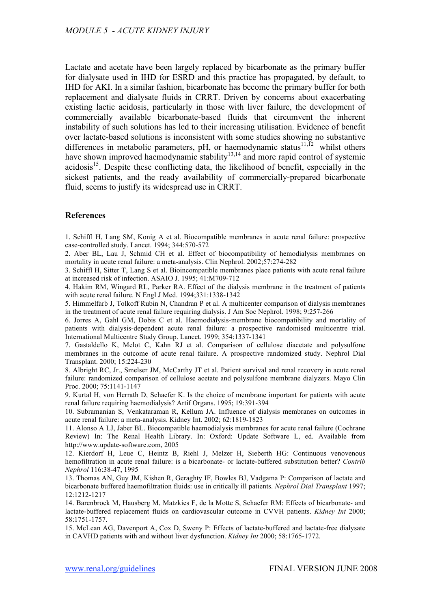Lactate and acetate have been largely replaced by bicarbonate as the primary buffer for dialysate used in IHD for ESRD and this practice has propagated, by default, to IHD for AKI. In a similar fashion, bicarbonate has become the primary buffer for both replacement and dialysate fluids in CRRT. Driven by concerns about exacerbating existing lactic acidosis, particularly in those with liver failure, the development of commercially available bicarbonate-based fluids that circumvent the inherent instability of such solutions has led to their increasing utilisation. Evidence of benefit over lactate-based solutions is inconsistent with some studies showing no substantive differences in metabolic parameters, pH, or haemodynamic status<sup>11,12</sup> whilst others have shown improved haemodynamic stability $13,14$  and more rapid control of systemic acidosis<sup>15</sup>. Despite these conflicting data, the likelihood of benefit, especially in the sickest patients, and the ready availability of commercially-prepared bicarbonate fluid, seems to justify its widespread use in CRRT.

#### **References**

1. Schiffl H, Lang SM, Konig A et al. Biocompatible membranes in acute renal failure: prospective case-controlled study. Lancet. 1994; 344:570-572

2. Aber BL, Lau J, Schmid CH et al. Effect of biocompatibility of hemodialysis membranes on mortality in acute renal failure: a meta-analysis. Clin Nephrol. 2002;57:274-282

3. Schiffl H, Sitter T, Lang S et al. Bioincompatible membranes place patients with acute renal failure at increased risk of infection. ASAIO J. 1995; 41:M709-712

4. Hakim RM, Wingard RL, Parker RA. Effect of the dialysis membrane in the treatment of patients with acute renal failure. N Engl J Med. 1994;331:1338-1342

5. Himmelfarb J, Tolkoff Rubin N, Chandran P et al. A multicenter comparison of dialysis membranes in the treatment of acute renal failure requiring dialysis. J Am Soc Nephrol. 1998; 9:257-266

6. Jorres A, Gahl GM, Dobis C et al. Haemodialysis-membrane biocompatibility and mortality of patients with dialysis-dependent acute renal failure: a prospective randomised multicentre trial. International Multicentre Study Group. Lancet. 1999; 354:1337-1341

7. Gastaldello K, Melot C, Kahn RJ et al. Comparison of cellulose diacetate and polysulfone membranes in the outcome of acute renal failure. A prospective randomized study. Nephrol Dial Transplant. 2000; 15:224-230

8. Albright RC, Jr., Smelser JM, McCarthy JT et al. Patient survival and renal recovery in acute renal failure: randomized comparison of cellulose acetate and polysulfone membrane dialyzers. Mayo Clin Proc. 2000; 75:1141-1147

9. Kurtal H, von Herrath D, Schaefer K. Is the choice of membrane important for patients with acute renal failure requiring haemodialysis? Artif Organs. 1995; 19:391-394

10. Subramanian S, Venkataraman R, Kellum JA. Influence of dialysis membranes on outcomes in acute renal failure: a meta-analysis. Kidney Int. 2002; 62:1819-1823

11. Alonso A LJ, Jaber BL. Biocompatible haemodialysis membranes for acute renal failure (Cochrane Review) In: The Renal Health Library. In: Oxford: Update Software L, ed. Available from http://www.update-software.com, 2005

12. Kierdorf H, Leue C, Heintz B, Riehl J, Melzer H, Sieberth HG: Continuous venovenous hemofiltration in acute renal failure: is a bicarbonate- or lactate-buffered substitution better? *Contrib Nephrol* 116:38-47, 1995

13. Thomas AN, Guy JM, Kishen R, Geraghty IF, Bowles BJ, Vadgama P: Comparison of lactate and bicarbonate buffered haemofiltration fluids: use in critically ill patients. *Nephrol Dial Transplant* 1997; 12:1212-1217

14. Barenbrock M, Hausberg M, Matzkies F, de la Motte S, Schaefer RM: Effects of bicarbonate- and lactate-buffered replacement fluids on cardiovascular outcome in CVVH patients. *Kidney Int* 2000; 58:1751-1757.

15. McLean AG, Davenport A, Cox D, Sweny P: Effects of lactate-buffered and lactate-free dialysate in CAVHD patients with and without liver dysfunction. *Kidney Int* 2000; 58:1765-1772.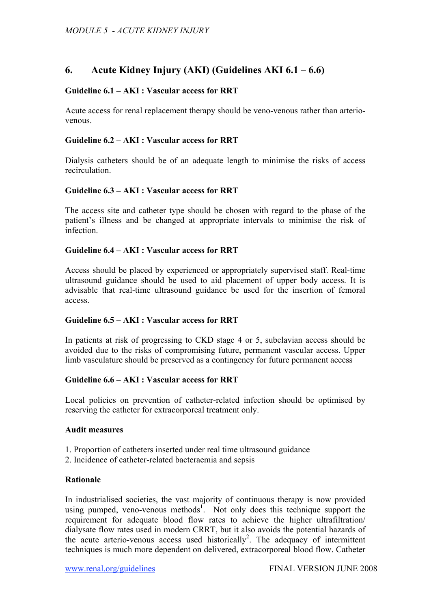## **6. Acute Kidney Injury (AKI) (Guidelines AKI 6.1 – 6.6)**

## **Guideline 6.1 – AKI : Vascular access for RRT**

Acute access for renal replacement therapy should be veno-venous rather than arteriovenous.

## **Guideline 6.2 – AKI : Vascular access for RRT**

Dialysis catheters should be of an adequate length to minimise the risks of access recirculation.

#### **Guideline 6.3 – AKI : Vascular access for RRT**

The access site and catheter type should be chosen with regard to the phase of the patient's illness and be changed at appropriate intervals to minimise the risk of infection.

### **Guideline 6.4 – AKI : Vascular access for RRT**

Access should be placed by experienced or appropriately supervised staff. Real-time ultrasound guidance should be used to aid placement of upper body access. It is advisable that real-time ultrasound guidance be used for the insertion of femoral access.

#### **Guideline 6.5 – AKI : Vascular access for RRT**

In patients at risk of progressing to CKD stage 4 or 5, subclavian access should be avoided due to the risks of compromising future, permanent vascular access. Upper limb vasculature should be preserved as a contingency for future permanent access

#### **Guideline 6.6 – AKI : Vascular access for RRT**

Local policies on prevention of catheter-related infection should be optimised by reserving the catheter for extracorporeal treatment only.

#### **Audit measures**

- 1. Proportion of catheters inserted under real time ultrasound guidance
- 2. Incidence of catheter-related bacteraemia and sepsis

#### **Rationale**

In industrialised societies, the vast majority of continuous therapy is now provided using pumped, veno-venous methods<sup>1</sup>. Not only does this technique support the requirement for adequate blood flow rates to achieve the higher ultrafiltration/ dialysate flow rates used in modern CRRT, but it also avoids the potential hazards of the acute arterio-venous access used historically<sup>2</sup>. The adequacy of intermittent techniques is much more dependent on delivered, extracorporeal blood flow. Catheter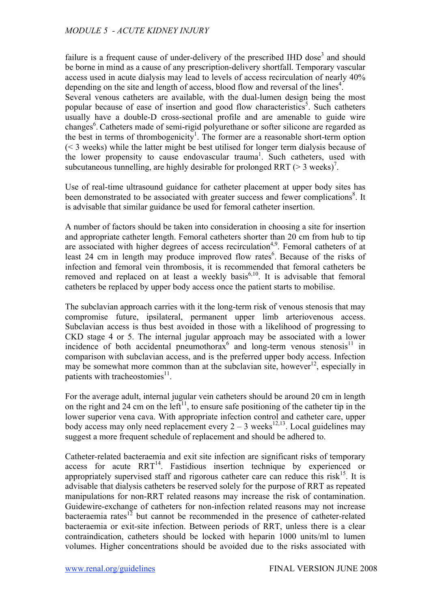failure is a frequent cause of under-delivery of the prescribed IHD dose<sup>3</sup> and should be borne in mind as a cause of any prescription-delivery shortfall. Temporary vascular access used in acute dialysis may lead to levels of access recirculation of nearly 40% depending on the site and length of access, blood flow and reversal of the lines<sup>4</sup>.

Several venous catheters are available, with the dual-lumen design being the most popular because of ease of insertion and good flow characteristics<sup>5</sup>. Such catheters usually have a double-D cross-sectional profile and are amenable to guide wire changes<sup>6</sup>. Catheters made of semi-rigid polyurethane or softer silicone are regarded as the best in terms of thrombogenicity<sup>1</sup>. The former are a reasonable short-term option (< 3 weeks) while the latter might be best utilised for longer term dialysis because of the lower propensity to cause endovascular trauma<sup>1</sup>. Such catheters, used with subcutaneous tunnelling, are highly desirable for prolonged RRT ( $>$  3 weeks)<sup>7</sup>.

Use of real-time ultrasound guidance for catheter placement at upper body sites has been demonstrated to be associated with greater success and fewer complications<sup>8</sup>. It is advisable that similar guidance be used for femoral catheter insertion.

A number of factors should be taken into consideration in choosing a site for insertion and appropriate catheter length. Femoral catheters shorter than 20 cm from hub to tip are associated with higher degrees of access recirculation<sup>4,9</sup>. Femoral catheters of at least 24 cm in length may produce improved flow rates<sup>6</sup>. Because of the risks of infection and femoral vein thrombosis, it is recommended that femoral catheters be removed and replaced on at least a weekly basis<sup>6,10</sup>. It is advisable that femoral catheters be replaced by upper body access once the patient starts to mobilise.

The subclavian approach carries with it the long-term risk of venous stenosis that may compromise future, ipsilateral, permanent upper limb arteriovenous access. Subclavian access is thus best avoided in those with a likelihood of progressing to CKD stage 4 or 5. The internal jugular approach may be associated with a lower incidence of both accidental pneumothorax<sup>6</sup> and long-term venous stenosis<sup>11</sup> in comparison with subclavian access, and is the preferred upper body access. Infection may be somewhat more common than at the subclavian site, however<sup>12</sup>, especially in patients with tracheostomies $^{11}$ .

For the average adult, internal jugular vein catheters should be around 20 cm in length on the right and 24 cm on the left<sup>11</sup>, to ensure safe positioning of the catheter tip in the lower superior vena cava. With appropriate infection control and catheter care, upper body access may only need replacement every  $2 - 3$  weeks<sup>12,13</sup>. Local guidelines may suggest a more frequent schedule of replacement and should be adhered to.

Catheter-related bacteraemia and exit site infection are significant risks of temporary access for acute  $\text{RRT}^{14}$ . Fastidious insertion technique by experienced or appropriately supervised staff and rigorous catheter care can reduce this risk<sup>15</sup>. It is advisable that dialysis catheters be reserved solely for the purpose of RRT as repeated manipulations for non-RRT related reasons may increase the risk of contamination. Guidewire-exchange of catheters for non-infection related reasons may not increase bacteraemia rates<sup>12</sup> but cannot be recommended in the presence of catheter-related bacteraemia or exit-site infection. Between periods of RRT, unless there is a clear contraindication, catheters should be locked with heparin 1000 units/ml to lumen volumes. Higher concentrations should be avoided due to the risks associated with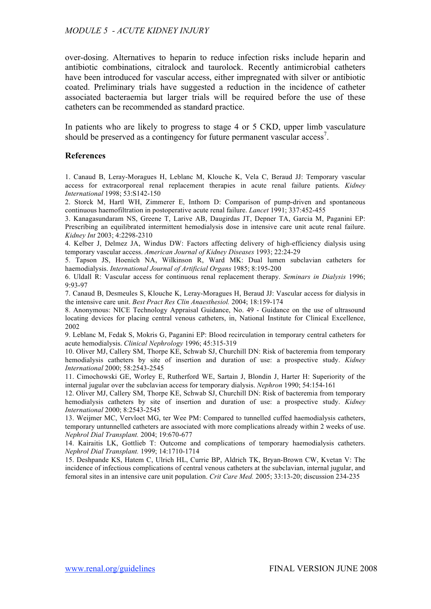over-dosing. Alternatives to heparin to reduce infection risks include heparin and antibiotic combinations, citralock and taurolock. Recently antimicrobial catheters have been introduced for vascular access, either impregnated with silver or antibiotic coated. Preliminary trials have suggested a reduction in the incidence of catheter associated bacteraemia but larger trials will be required before the use of these catheters can be recommended as standard practice.

In patients who are likely to progress to stage 4 or 5 CKD, upper limb vasculature should be preserved as a contingency for future permanent vascular access<sup>7</sup>.

### **References**

1. Canaud B, Leray-Moragues H, Leblanc M, Klouche K, Vela C, Beraud JJ: Temporary vascular access for extracorporeal renal replacement therapies in acute renal failure patients. *Kidney International* 1998; 53:S142-150

2. Storck M, Hartl WH, Zimmerer E, Inthorn D: Comparison of pump-driven and spontaneous continuous haemofiltration in postoperative acute renal failure. *Lancet* 1991; 337:452-455

3. Kanagasundaram NS, Greene T, Larive AB, Daugirdas JT, Depner TA, Garcia M, Paganini EP: Prescribing an equilibrated intermittent hemodialysis dose in intensive care unit acute renal failure. *Kidney Int* 2003; 4:2298-2310

4. Kelber J, Delmez JA, Windus DW: Factors affecting delivery of high-efficiency dialysis using temporary vascular access. *American Journal of Kidney Diseases* 1993; 22:24-29

5. Tapson JS, Hoenich NA, Wilkinson R, Ward MK: Dual lumen subclavian catheters for haemodialysis. *International Journal of Artificial Organs* 1985; 8:195-200

6. Uldall R: Vascular access for continuous renal replacement therapy. *Seminars in Dialysis* 1996; 9:93-97

7. Canaud B, Desmeules S, Klouche K, Leray-Moragues H, Beraud JJ: Vascular access for dialysis in the intensive care unit. *Best Pract Res Clin Anaesthesiol.* 2004; 18:159-174

8. Anonymous: NICE Technology Appraisal Guidance, No. 49 - Guidance on the use of ultrasound locating devices for placing central venous catheters, in, National Institute for Clinical Excellence, 2002

9. Leblanc M, Fedak S, Mokris G, Paganini EP: Blood recirculation in temporary central catheters for acute hemodialysis. *Clinical Nephrology* 1996; 45:315-319

10. Oliver MJ, Callery SM, Thorpe KE, Schwab SJ, Churchill DN: Risk of bacteremia from temporary hemodialysis catheters by site of insertion and duration of use: a prospective study. *Kidney International* 2000; 58:2543-2545

11. Cimochowski GE, Worley E, Rutherford WE, Sartain J, Blondin J, Harter H: Superiority of the internal jugular over the subclavian access for temporary dialysis. *Nephron* 1990; 54:154-161

12. Oliver MJ, Callery SM, Thorpe KE, Schwab SJ, Churchill DN: Risk of bacteremia from temporary hemodialysis catheters by site of insertion and duration of use: a prospective study. *Kidney International* 2000; 8:2543-2545

13. Weijmer MC, Vervloet MG, ter Wee PM: Compared to tunnelled cuffed haemodialysis catheters, temporary untunnelled catheters are associated with more complications already within 2 weeks of use. *Nephrol Dial Transplant.* 2004; 19:670-677

14. Kairaitis LK, Gottlieb T: Outcome and complications of temporary haemodialysis catheters. *Nephrol Dial Transplant.* 1999; 14:1710-1714

15. Deshpande KS, Hatem C, Ulrich HL, Currie BP, Aldrich TK, Bryan-Brown CW, Kvetan V: The incidence of infectious complications of central venous catheters at the subclavian, internal jugular, and femoral sites in an intensive care unit population. *Crit Care Med.* 2005; 33:13-20; discussion 234-235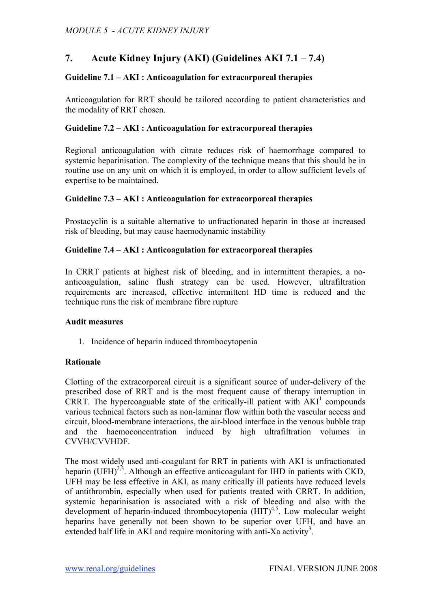# **7. Acute Kidney Injury (AKI) (Guidelines AKI 7.1 – 7.4)**

## **Guideline 7.1 – AKI : Anticoagulation for extracorporeal therapies**

Anticoagulation for RRT should be tailored according to patient characteristics and the modality of RRT chosen.

## **Guideline 7.2 – AKI : Anticoagulation for extracorporeal therapies**

Regional anticoagulation with citrate reduces risk of haemorrhage compared to systemic heparinisation. The complexity of the technique means that this should be in routine use on any unit on which it is employed, in order to allow sufficient levels of expertise to be maintained.

## **Guideline 7.3 – AKI : Anticoagulation for extracorporeal therapies**

Prostacyclin is a suitable alternative to unfractionated heparin in those at increased risk of bleeding, but may cause haemodynamic instability

## **Guideline 7.4 – AKI : Anticoagulation for extracorporeal therapies**

In CRRT patients at highest risk of bleeding, and in intermittent therapies, a noanticoagulation, saline flush strategy can be used. However, ultrafiltration requirements are increased, effective intermittent HD time is reduced and the technique runs the risk of membrane fibre rupture

### **Audit measures**

1. Incidence of heparin induced thrombocytopenia

## **Rationale**

Clotting of the extracorporeal circuit is a significant source of under-delivery of the prescribed dose of RRT and is the most frequent cause of therapy interruption in CRRT. The hypercoaguable state of the critically-ill patient with  $AKI<sup>1</sup>$  compounds various technical factors such as non-laminar flow within both the vascular access and circuit, blood-membrane interactions, the air-blood interface in the venous bubble trap and the haemoconcentration induced by high ultrafiltration volumes in CVVH/CVVHDF.

The most widely used anti-coagulant for RRT in patients with AKI is unfractionated heparin (UFH)<sup>2,3</sup>. Although an effective anticoagulant for IHD in patients with CKD, UFH may be less effective in AKI, as many critically ill patients have reduced levels of antithrombin, especially when used for patients treated with CRRT. In addition, systemic heparinisation is associated with a risk of bleeding and also with the development of heparin-induced thrombocytopenia  $(HIT)^{4,5}$ . Low molecular weight heparins have generally not been shown to be superior over UFH, and have an extended half life in AKI and require monitoring with anti-Xa activity<sup>3</sup>.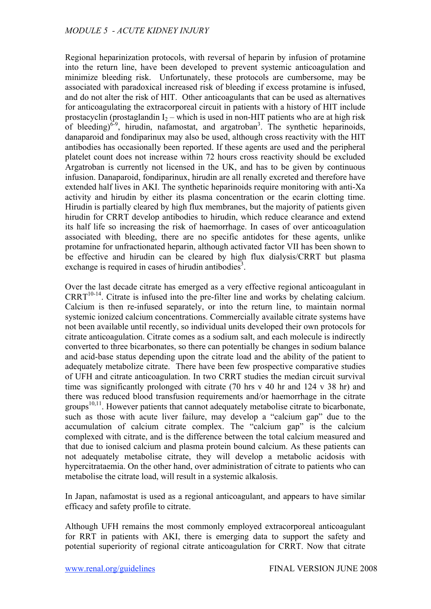Regional heparinization protocols, with reversal of heparin by infusion of protamine into the return line, have been developed to prevent systemic anticoagulation and minimize bleeding risk. Unfortunately, these protocols are cumbersome, may be associated with paradoxical increased risk of bleeding if excess protamine is infused, and do not alter the risk of HIT. Other anticoagulants that can be used as alternatives for anticoagulating the extracorporeal circuit in patients with a history of HIT include prostacyclin (prostaglandin  $I_2$  – which is used in non-HIT patients who are at high risk of bleeding) $6-9$ , hirudin, nafamostat, and argatroban<sup>3</sup>. The synthetic heparinoids, danaparoid and fondiparinux may also be used, although cross reactivity with the HIT antibodies has occasionally been reported. If these agents are used and the peripheral platelet count does not increase within 72 hours cross reactivity should be excluded Argatroban is currently not licensed in the UK, and has to be given by continuous infusion. Danaparoid, fondiparinux, hirudin are all renally excreted and therefore have extended half lives in AKI. The synthetic heparinoids require monitoring with anti-Xa activity and hirudin by either its plasma concentration or the ecarin clotting time. Hirudin is partially cleared by high flux membranes, but the majority of patients given hirudin for CRRT develop antibodies to hirudin, which reduce clearance and extend its half life so increasing the risk of haemorrhage. In cases of over anticoagulation associated with bleeding, there are no specific antidotes for these agents, unlike protamine for unfractionated heparin, although activated factor VII has been shown to be effective and hirudin can be cleared by high flux dialysis/CRRT but plasma exchange is required in cases of hirudin antibodies<sup>3</sup>.

Over the last decade citrate has emerged as a very effective regional anticoagulant in  $CRRT^{10-14}$ . Citrate is infused into the pre-filter line and works by chelating calcium. Calcium is then re-infused separately, or into the return line, to maintain normal systemic ionized calcium concentrations. Commercially available citrate systems have not been available until recently, so individual units developed their own protocols for citrate anticoagulation. Citrate comes as a sodium salt, and each molecule is indirectly converted to three bicarbonates, so there can potentially be changes in sodium balance and acid-base status depending upon the citrate load and the ability of the patient to adequately metabolize citrate. There have been few prospective comparative studies of UFH and citrate anticoagulation. In two CRRT studies the median circuit survival time was significantly prolonged with citrate (70 hrs v 40 hr and 124 v 38 hr) and there was reduced blood transfusion requirements and/or haemorrhage in the citrate groups<sup>10,11</sup>. However patients that cannot adequately metabolise citrate to bicarbonate, such as those with acute liver failure, may develop a "calcium gap" due to the accumulation of calcium citrate complex. The "calcium gap" is the calcium complexed with citrate, and is the difference between the total calcium measured and that due to ionised calcium and plasma protein bound calcium. As these patients can not adequately metabolise citrate, they will develop a metabolic acidosis with hypercitrataemia. On the other hand, over administration of citrate to patients who can metabolise the citrate load, will result in a systemic alkalosis.

In Japan, nafamostat is used as a regional anticoagulant, and appears to have similar efficacy and safety profile to citrate.

Although UFH remains the most commonly employed extracorporeal anticoagulant for RRT in patients with AKI, there is emerging data to support the safety and potential superiority of regional citrate anticoagulation for CRRT. Now that citrate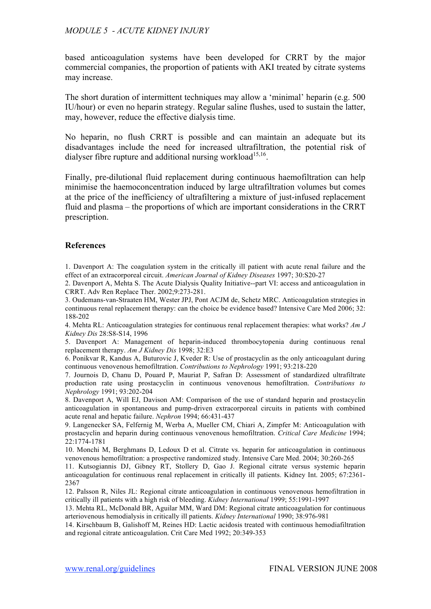based anticoagulation systems have been developed for CRRT by the major commercial companies, the proportion of patients with AKI treated by citrate systems may increase.

The short duration of intermittent techniques may allow a 'minimal' heparin (e.g. 500 IU/hour) or even no heparin strategy. Regular saline flushes, used to sustain the latter, may, however, reduce the effective dialysis time.

No heparin, no flush CRRT is possible and can maintain an adequate but its disadvantages include the need for increased ultrafiltration, the potential risk of dialyser fibre rupture and additional nursing workload<sup>15,16</sup>.

Finally, pre-dilutional fluid replacement during continuous haemofiltration can help minimise the haemoconcentration induced by large ultrafiltration volumes but comes at the price of the inefficiency of ultrafiltering a mixture of just-infused replacement fluid and plasma – the proportions of which are important considerations in the CRRT prescription.

#### **References**

1. Davenport A: The coagulation system in the critically ill patient with acute renal failure and the effect of an extracorporeal circuit. *American Journal of Kidney Diseases* 1997; 30:S20-27

2. Davenport A, Mehta S. The Acute Dialysis Quality Initiative--part VI: access and anticoagulation in CRRT. Adv Ren Replace Ther. 2002;9:273-281.

3. Oudemans-van-Straaten HM, Wester JPJ, Pont ACJM de, Schetz MRC. Anticoagulation strategies in continuous renal replacement therapy: can the choice be evidence based? Intensive Care Med 2006; 32: 188-202

4. Mehta RL: Anticoagulation strategies for continuous renal replacement therapies: what works? *Am J Kidney Dis* 28:S8-S14, 1996

5. Davenport A: Management of heparin-induced thrombocytopenia during continuous renal replacement therapy. *Am J Kidney Dis* 1998; 32:E3

6. Ponikvar R, Kandus A, Buturovic J, Kveder R: Use of prostacyclin as the only anticoagulant during continuous venovenous hemofiltration. *Contributions to Nephrology* 1991; 93:218-220

7. Journois D, Chanu D, Pouard P, Mauriat P, Safran D: Assessment of standardized ultrafiltrate production rate using prostacyclin in continuous venovenous hemofiltration. *Contributions to Nephrology* 1991; 93:202-204

8. Davenport A, Will EJ, Davison AM: Comparison of the use of standard heparin and prostacyclin anticoagulation in spontaneous and pump-driven extracorporeal circuits in patients with combined acute renal and hepatic failure. *Nephron* 1994; 66:431-437

9. Langenecker SA, Felfernig M, Werba A, Mueller CM, Chiari A, Zimpfer M: Anticoagulation with prostacyclin and heparin during continuous venovenous hemofiltration. *Critical Care Medicine* 1994; 22:1774-1781

10. Monchi M, Berghmans D, Ledoux D et al. Citrate vs. heparin for anticoagulation in continuous venovenous hemofiltration: a prospective randomized study. Intensive Care Med. 2004; 30:260-265

11. Kutsogiannis DJ, Gibney RT, Stollery D, Gao J. Regional citrate versus systemic heparin anticoagulation for continuous renal replacement in critically ill patients. Kidney Int. 2005; 67:2361- 2367

12. Palsson R, Niles JL: Regional citrate anticoagulation in continuous venovenous hemofiltration in critically ill patients with a high risk of bleeding. *Kidney International* 1999; 55:1991-1997

13. Mehta RL, McDonald BR, Aguilar MM, Ward DM: Regional citrate anticoagulation for continuous arteriovenous hemodialysis in critically ill patients. *Kidney International* 1990; 38:976-981

14. Kirschbaum B, Galishoff M, Reines HD: Lactic acidosis treated with continuous hemodiafiltration and regional citrate anticoagulation. Crit Care Med 1992; 20:349-353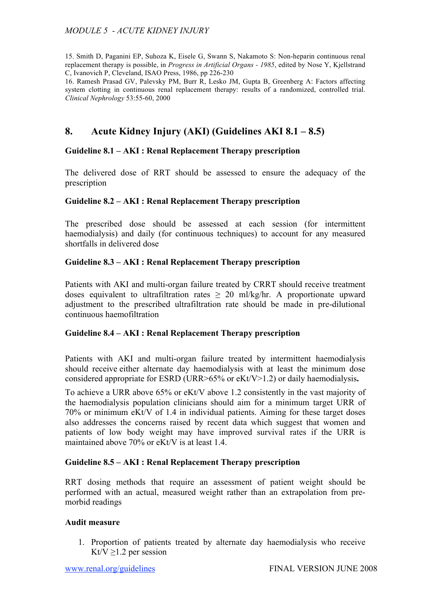15. Smith D, Paganini EP, Suhoza K, Eisele G, Swann S, Nakamoto S: Non-heparin continuous renal replacement therapy is possible, in *Progress in Artificial Organs - 1985*, edited by Nose Y, Kjellstrand C, Ivanovich P, Cleveland, ISAO Press, 1986, pp 226-230

16. Ramesh Prasad GV, Palevsky PM, Burr R, Lesko JM, Gupta B, Greenberg A: Factors affecting system clotting in continuous renal replacement therapy: results of a randomized, controlled trial. *Clinical Nephrology* 53:55-60, 2000

## **8. Acute Kidney Injury (AKI) (Guidelines AKI 8.1 – 8.5)**

## **Guideline 8.1 – AKI : Renal Replacement Therapy prescription**

The delivered dose of RRT should be assessed to ensure the adequacy of the prescription

#### **Guideline 8.2 – AKI : Renal Replacement Therapy prescription**

The prescribed dose should be assessed at each session (for intermittent haemodialysis) and daily (for continuous techniques) to account for any measured shortfalls in delivered dose

## **Guideline 8.3 – AKI : Renal Replacement Therapy prescription**

Patients with AKI and multi-organ failure treated by CRRT should receive treatment doses equivalent to ultrafiltration rates  $\geq 20$  ml/kg/hr. A proportionate upward adjustment to the prescribed ultrafiltration rate should be made in pre-dilutional continuous haemofiltration

#### **Guideline 8.4 – AKI : Renal Replacement Therapy prescription**

Patients with AKI and multi-organ failure treated by intermittent haemodialysis should receive either alternate day haemodialysis with at least the minimum dose considered appropriate for ESRD (URR>65% or eKt/V>1.2) or daily haemodialysis**.**

To achieve a URR above 65% or eKt/V above 1.2 consistently in the vast majority of the haemodialysis population clinicians should aim for a minimum target URR of 70% or minimum eKt/V of 1.4 in individual patients. Aiming for these target doses also addresses the concerns raised by recent data which suggest that women and patients of low body weight may have improved survival rates if the URR is maintained above 70% or eKt/V is at least 1.4.

#### **Guideline 8.5 – AKI : Renal Replacement Therapy prescription**

RRT dosing methods that require an assessment of patient weight should be performed with an actual, measured weight rather than an extrapolation from premorbid readings

#### **Audit measure**

1. Proportion of patients treated by alternate day haemodialysis who receive Kt/V  $>1.2$  per session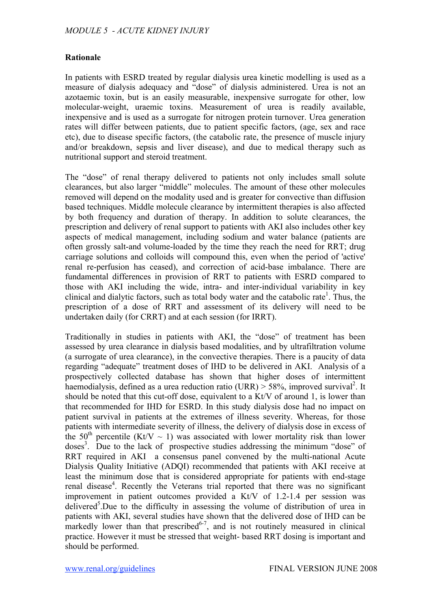## **Rationale**

In patients with ESRD treated by regular dialysis urea kinetic modelling is used as a measure of dialysis adequacy and "dose" of dialysis administered. Urea is not an azotaemic toxin, but is an easily measurable, inexpensive surrogate for other, low molecular-weight, uraemic toxins. Measurement of urea is readily available, inexpensive and is used as a surrogate for nitrogen protein turnover. Urea generation rates will differ between patients, due to patient specific factors, (age, sex and race etc), due to disease specific factors, (the catabolic rate, the presence of muscle injury and/or breakdown, sepsis and liver disease), and due to medical therapy such as nutritional support and steroid treatment.

The "dose" of renal therapy delivered to patients not only includes small solute clearances, but also larger "middle" molecules. The amount of these other molecules removed will depend on the modality used and is greater for convective than diffusion based techniques. Middle molecule clearance by intermittent therapies is also affected by both frequency and duration of therapy. In addition to solute clearances, the prescription and delivery of renal support to patients with AKI also includes other key aspects of medical management, including sodium and water balance (patients are often grossly salt-and volume-loaded by the time they reach the need for RRT; drug carriage solutions and colloids will compound this, even when the period of 'active' renal re-perfusion has ceased), and correction of acid-base imbalance. There are fundamental differences in provision of RRT to patients with ESRD compared to those with AKI including the wide, intra- and inter-individual variability in key clinical and dialytic factors, such as total body water and the catabolic rate<sup>1</sup>. Thus, the prescription of a dose of RRT and assessment of its delivery will need to be undertaken daily (for CRRT) and at each session (for IRRT).

Traditionally in studies in patients with AKI, the "dose" of treatment has been assessed by urea clearance in dialysis based modalities, and by ultrafiltration volume (a surrogate of urea clearance), in the convective therapies. There is a paucity of data regarding "adequate" treatment doses of IHD to be delivered in AKI. Analysis of a prospectively collected database has shown that higher doses of intermittent haemodialysis, defined as a urea reduction ratio (URR)  $> 58\%$ , improved survival<sup>2</sup>. It should be noted that this cut-off dose, equivalent to a Kt/V of around 1, is lower than that recommended for IHD for ESRD. In this study dialysis dose had no impact on patient survival in patients at the extremes of illness severity. Whereas, for those patients with intermediate severity of illness, the delivery of dialysis dose in excess of the 50<sup>th</sup> percentile (Kt/V  $\sim$  1) was associated with lower mortality risk than lower doses<sup>3</sup>. Due to the lack of prospective studies addressing the minimum "dose" of RRT required in AKI a consensus panel convened by the multi-national Acute Dialysis Quality Initiative (ADQI) recommended that patients with AKI receive at least the minimum dose that is considered appropriate for patients with end-stage renal disease<sup>4</sup>. Recently the Veterans trial reported that there was no significant improvement in patient outcomes provided a Kt/V of 1.2-1.4 per session was delivered<sup>5</sup>.Due to the difficulty in assessing the volume of distribution of urea in patients with AKI, several studies have shown that the delivered dose of IHD can be markedly lower than that prescribed $6-7$ , and is not routinely measured in clinical practice. However it must be stressed that weight- based RRT dosing is important and should be performed.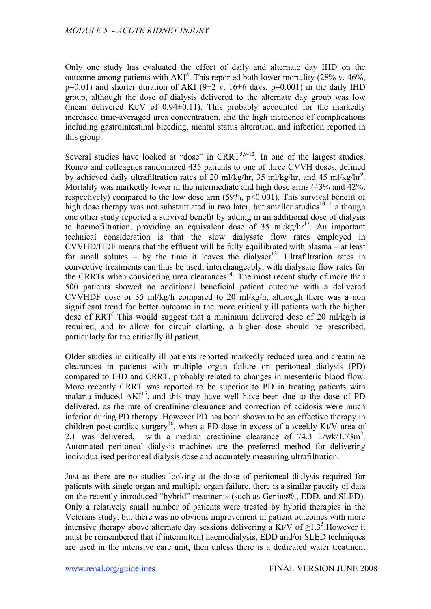Only one study has evaluated the effect of daily and alternate day IHD on the outcome among patients with  $AKI<sup>8</sup>$ . This reported both lower mortality (28% v. 46%,  $p=0.01$ ) and shorter duration of AKI (9 $\pm$ 2 v. 16 $\pm$ 6 days, p=0.001) in the daily IHD group, although the dose of dialysis delivered to the alternate day group was low (mean delivered Kt/V of  $0.94\pm0.11$ ). This probably accounted for the markedly increased time-averaged urea concentration, and the high incidence of complications including gastrointestinal bleeding, mental status alteration, and infection reported in this group.

Several studies have looked at "dose" in CRRT<sup>5,9-12</sup>. In one of the largest studies, Ronco and colleagues randomized 435 patients to one of three CVVH doses, defined by achieved daily ultrafiltration rates of 20 ml/kg/hr, 35 ml/kg/hr, and 45 ml/kg/hr<sup>9</sup>. Mortality was markedly lower in the intermediate and high dose arms (43% and 42%, respectively) compared to the low dose arm  $(59\%, p<0.001)$ . This survival benefit of high dose therapy was not substantiated in two later, but smaller studies<sup>10,11</sup> although one other study reported a survival benefit by adding in an additional dose of dialysis to haemofiltration, providing an equivalent dose of 35 ml/kg/hr<sup>12</sup>. An important technical consideration is that the slow dialysate flow rates employed in CVVHD/HDF means that the effluent will be fully equilibrated with plasma – at least for small solutes – by the time it leaves the dialyser<sup>13</sup>. Ultrafiltration rates in convective treatments can thus be used, interchangeably, with dialysate flow rates for the CRRTs when considering urea clearances $14$ . The most recent study of more than 500 patients showed no additional beneficial patient outcome with a delivered CVVHDF dose or 35 ml/kg/h compared to 20 ml/kg/h, although there was a non significant trend for better outcome in the more critically ill patients with the higher dose of RRT<sup>5</sup>. This would suggest that a minimum delivered dose of 20 ml/kg/h is required, and to allow for circuit clotting, a higher dose should be prescribed, particularly for the critically ill patient.

Older studies in critically ill patients reported markedly reduced urea and creatinine clearances in patients with multiple organ failure on peritoneal dialysis (PD) compared to IHD and CRRT, probably related to changes in mesenteric blood flow. More recently CRRT was reported to be superior to PD in treating patients with malaria induced AKI<sup>15</sup>, and this may have well have been due to the dose of PD delivered, as the rate of creatinine clearance and correction of acidosis were much inferior during PD therapy. However PD has been shown to be an effective therapy in children post cardiac surgery<sup>16</sup>, when a PD dose in excess of a weekly Kt/V urea of 2.1 was delivered, with a median creatinine clearance of  $74.3$  L/wk/1.73m<sup>2</sup>. Automated peritoneal dialysis machines are the preferred method for delivering individualised peritoneal dialysis dose and accurately measuring ultrafiltration.

Just as there are no studies looking at the dose of peritoneal dialysis required for patients with single organ and multiple organ failure, there is a similar paucity of data on the recently introduced "hybrid" treatments (such as Genius®., EDD, and SLED). Only a relatively small number of patients were treated by hybrid therapies in the Veterans study, but there was no obvious improvement in patient outcomes with more intensive therapy above alternate day sessions delivering a Kt/V of  $\geq$ 1.3<sup>5</sup>. However it must be remembered that if intermittent haemodialysis, EDD and/or SLED techniques are used in the intensive care unit, then unless there is a dedicated water treatment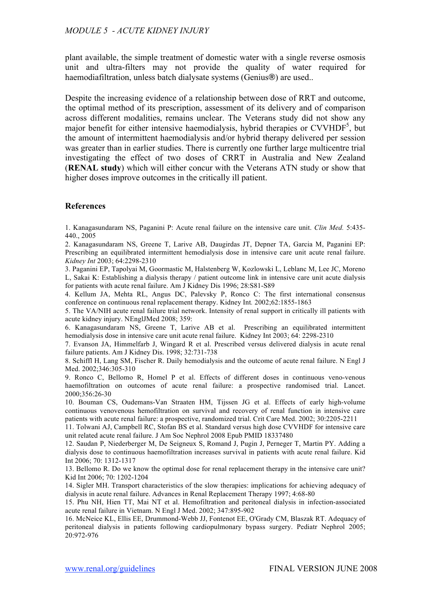plant available, the simple treatment of domestic water with a single reverse osmosis unit and ultra-filters may not provide the quality of water required for haemodiafiltration, unless batch dialysate systems (Genius®) are used..

Despite the increasing evidence of a relationship between dose of RRT and outcome, the optimal method of its prescription, assessment of its delivery and of comparison across different modalities, remains unclear. The Veterans study did not show any major benefit for either intensive haemodialysis, hybrid therapies or CVVHDF<sup>5</sup>, but the amount of intermittent haemodialysis and/or hybrid therapy delivered per session was greater than in earlier studies. There is currently one further large multicentre trial investigating the effect of two doses of CRRT in Australia and New Zealand (**RENAL study**) which will either concur with the Veterans ATN study or show that higher doses improve outcomes in the critically ill patient.

#### **References**

1. Kanagasundaram NS, Paganini P: Acute renal failure on the intensive care unit. *Clin Med.* 5:435- 440 2005

2. Kanagasundaram NS, Greene T, Larive AB, Daugirdas JT, Depner TA, Garcia M, Paganini EP: Prescribing an equilibrated intermittent hemodialysis dose in intensive care unit acute renal failure. *Kidney Int* 2003; 64:2298-2310

3. Paganini EP, Tapolyai M, Goormastic M, Halstenberg W, Kozlowski L, Leblanc M, Lee JC, Moreno L, Sakai K: Establishing a dialysis therapy / patient outcome link in intensive care unit acute dialysis for patients with acute renal failure. Am J Kidney Dis 1996; 28:S81-S89

4. Kellum JA, Mehta RL, Angus DC, Palevsky P, Ronco C: The first international consensus conference on continuous renal replacement therapy. Kidney Int*.* 2002;62:1855-1863

5. The VA/NIH acute renal failure trial network. Intensity of renal support in critically ill patients with acute kidney injury. NEnglJMed 2008; 359:

6. Kanagasundaram NS, Greene T, Larive AB et al. Prescribing an equilibrated intermittent hemodialysis dose in intensive care unit acute renal failure. Kidney Int 2003; 64: 2298-2310

7. Evanson JA, Himmelfarb J, Wingard R et al. Prescribed versus delivered dialysis in acute renal failure patients. Am J Kidney Dis. 1998; 32:731-738

8. Schiffl H, Lang SM, Fischer R. Daily hemodialysis and the outcome of acute renal failure. N Engl J Med. 2002;346:305-310

9. Ronco C, Bellomo R, Homel P et al. Effects of different doses in continuous veno-venous haemofiltration on outcomes of acute renal failure: a prospective randomised trial. Lancet. 2000;356:26-30

10. Bouman CS, Oudemans-Van Straaten HM, Tijssen JG et al. Effects of early high-volume continuous venovenous hemofiltration on survival and recovery of renal function in intensive care patients with acute renal failure: a prospective, randomized trial. Crit Care Med. 2002; 30:2205-2211

11. Tolwani AJ, Campbell RC, Stofan BS et al. Standard versus high dose CVVHDF for intensive care unit related acute renal failure. J Am Soc Nephrol 2008 Epub PMID 18337480

12. Saudan P, Niederberger M, De Seigneux S, Romand J, Pugin J, Perneger T, Martin PY. Adding a dialysis dose to continuous haemofiltration increases survival in patients with acute renal failure. Kid Int 2006; 70: 1312-1317

13. Bellomo R. Do we know the optimal dose for renal replacement therapy in the intensive care unit? Kid Int 2006; 70: 1202-1204

14. Sigler MH. Transport characteristics of the slow therapies: implications for achieving adequacy of dialysis in acute renal failure. Advances in Renal Replacement Therapy 1997; 4:68-80

15. Phu NH, Hien TT, Mai NT et al. Hemofiltration and peritoneal dialysis in infection-associated acute renal failure in Vietnam. N Engl J Med. 2002; 347:895-902

16. McNeice KL, Ellis EE, Drummond-Webb JJ, Fontenot EE, O'Grady CM, Blaszak RT. Adequacy of peritoneal dialysis in patients following cardiopulmonary bypass surgery. Pediatr Nephrol 2005; 20:972-976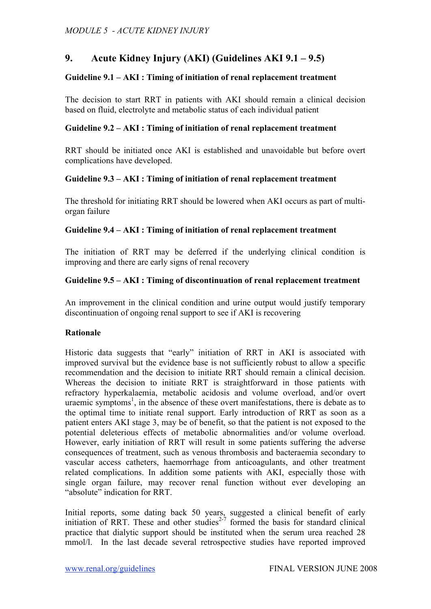# **9. Acute Kidney Injury (AKI) (Guidelines AKI 9.1 – 9.5)**

## **Guideline 9.1 – AKI : Timing of initiation of renal replacement treatment**

The decision to start RRT in patients with AKI should remain a clinical decision based on fluid, electrolyte and metabolic status of each individual patient

### **Guideline 9.2 – AKI : Timing of initiation of renal replacement treatment**

RRT should be initiated once AKI is established and unavoidable but before overt complications have developed.

## **Guideline 9.3 – AKI : Timing of initiation of renal replacement treatment**

The threshold for initiating RRT should be lowered when AKI occurs as part of multiorgan failure

#### **Guideline 9.4 – AKI : Timing of initiation of renal replacement treatment**

The initiation of RRT may be deferred if the underlying clinical condition is improving and there are early signs of renal recovery

## **Guideline 9.5 – AKI : Timing of discontinuation of renal replacement treatment**

An improvement in the clinical condition and urine output would justify temporary discontinuation of ongoing renal support to see if AKI is recovering

#### **Rationale**

Historic data suggests that "early" initiation of RRT in AKI is associated with improved survival but the evidence base is not sufficiently robust to allow a specific recommendation and the decision to initiate RRT should remain a clinical decision. Whereas the decision to initiate RRT is straightforward in those patients with refractory hyperkalaemia, metabolic acidosis and volume overload, and/or overt uraemic symptoms<sup>1</sup>, in the absence of these overt manifestations, there is debate as to the optimal time to initiate renal support. Early introduction of RRT as soon as a patient enters AKI stage 3, may be of benefit, so that the patient is not exposed to the potential deleterious effects of metabolic abnormalities and/or volume overload. However, early initiation of RRT will result in some patients suffering the adverse consequences of treatment, such as venous thrombosis and bacteraemia secondary to vascular access catheters, haemorrhage from anticoagulants, and other treatment related complications. In addition some patients with AKI, especially those with single organ failure, may recover renal function without ever developing an "absolute" indication for RRT.

Initial reports, some dating back 50 years, suggested a clinical benefit of early initiation of RRT. These and other studies<sup> $2-7$ </sup> formed the basis for standard clinical practice that dialytic support should be instituted when the serum urea reached 28 mmol/l. In the last decade several retrospective studies have reported improved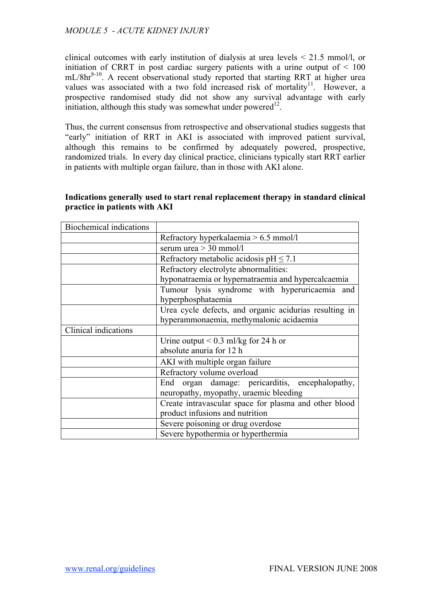clinical outcomes with early institution of dialysis at urea levels < 21.5 mmol/l, or initiation of CRRT in post cardiac surgery patients with a urine output of  $\leq 100$ mL/8hr<sup>8-10</sup>. A recent observational study reported that starting RRT at higher urea values was associated with a two fold increased risk of mortality<sup>11</sup>. However, a prospective randomised study did not show any survival advantage with early initiation, although this study was somewhat under powered $12$ .

Thus, the current consensus from retrospective and observational studies suggests that "early" initiation of RRT in AKI is associated with improved patient survival, although this remains to be confirmed by adequately powered, prospective, randomized trials. In every day clinical practice, clinicians typically start RRT earlier in patients with multiple organ failure, than in those with AKI alone.

| Biochemical indications |                                                        |  |
|-------------------------|--------------------------------------------------------|--|
|                         | Refractory hyperkalaemia $> 6.5$ mmol/l                |  |
|                         | serum urea $>$ 30 mmol/l                               |  |
|                         | Refractory metabolic acidosis pH $\leq$ 7.1            |  |
|                         | Refractory electrolyte abnormalities:                  |  |
|                         | hyponatraemia or hypernatraemia and hypercalcaemia     |  |
|                         | Tumour lysis syndrome with hyperuricaemia and          |  |
|                         | hyperphosphataemia                                     |  |
|                         | Urea cycle defects, and organic acidurias resulting in |  |
|                         | hyperammonaemia, methymalonic acidaemia                |  |
| Clinical indications    |                                                        |  |
|                         | Urine output $\leq 0.3$ ml/kg for 24 h or              |  |
|                         | absolute anuria for 12 h                               |  |
|                         | AKI with multiple organ failure                        |  |
|                         | Refractory volume overload                             |  |
|                         | organ damage: pericarditis, encephalopathy,<br>End     |  |
|                         | neuropathy, myopathy, uraemic bleeding                 |  |
|                         | Create intravascular space for plasma and other blood  |  |
|                         | product infusions and nutrition                        |  |
|                         | Severe poisoning or drug overdose                      |  |
|                         | Severe hypothermia or hyperthermia                     |  |

## **Indications generally used to start renal replacement therapy in standard clinical practice in patients with AKI**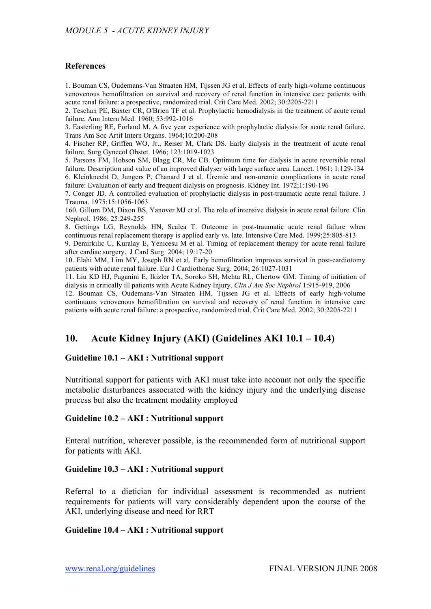#### **References**

1. Bouman CS, Oudemans-Van Straaten HM, Tijssen JG et al. Effects of early high-volume continuous venovenous hemofiltration on survival and recovery of renal function in intensive care patients with acute renal failure: a prospective, randomized trial. Crit Care Med. 2002; 30:2205-2211

2. Teschan PE, Baxter CR, O'Brien TF et al. Prophylactic hemodialysis in the treatment of acute renal failure. Ann Intern Med. 1960; 53:992-1016

3. Easterling RE, Forland M. A five year experience with prophylactic dialysis for acute renal failure. Trans Am Soc Artif Intern Organs. 1964;10:200-208

4. Fischer RP, Griffen WO, Jr., Reiser M, Clark DS. Early dialysis in the treatment of acute renal failure. Surg Gynecol Obstet. 1966; 123:1019-1023

5. Parsons FM, Hobson SM, Blagg CR, Mc CB. Optimum time for dialysis in acute reversible renal failure. Description and value of an improved dialyser with large surface area. Lancet. 1961; 1:129-134 6. Kleinknecht D, Jungers P, Chanard J et al. Uremic and non-uremic complications in acute renal failure: Evaluation of early and frequent dialysis on prognosis. Kidney Int. 1972;1:190-196

7. Conger JD. A controlled evaluation of prophylactic dialysis in post-traumatic acute renal failure. J Trauma. 1975;15:1056-1063

160. Gillum DM, Dixon BS, Yanover MJ et al. The role of intensive dialysis in acute renal failure. Clin Nephrol. 1986; 25:249-255

8. Gettings LG, Reynolds HN, Scalea T. Outcome in post-traumatic acute renal failure when continuous renal replacement therapy is applied early vs. late. Intensive Care Med. 1999;25:805-813

9. Demirkilic U, Kuralay E, Yenicesu M et al. Timing of replacement therapy for acute renal failure after cardiac surgery. J Card Surg. 2004; 19:17-20

10. Elahi MM, Lim MY, Joseph RN et al. Early hemofiltration improves survival in post-cardiotomy patients with acute renal failure. Eur J Cardiothorac Surg. 2004; 26:1027-1031

11. Liu KD HJ, Paganini E, Ikizler TA, Soroko SH, Mehta RL, Chertow GM. Timing of initiation of dialysis in critically ill patients with Acute Kidney Injury. *Clin J Am Soc Nephrol* 1:915-919, 2006

12. Bouman CS, Oudemans-Van Straaten HM, Tijssen JG et al. Effects of early high-volume continuous venovenous hemofiltration on survival and recovery of renal function in intensive care patients with acute renal failure: a prospective, randomized trial. Crit Care Med. 2002; 30:2205-2211

# **10. Acute Kidney Injury (AKI) (Guidelines AKI 10.1 – 10.4)**

#### **Guideline 10.1 – AKI : Nutritional support**

Nutritional support for patients with AKI must take into account not only the specific metabolic disturbances associated with the kidney injury and the underlying disease process but also the treatment modality employed

#### **Guideline 10.2 – AKI : Nutritional support**

Enteral nutrition, wherever possible, is the recommended form of nutritional support for patients with AKI.

#### **Guideline 10.3 – AKI : Nutritional support**

Referral to a dietician for individual assessment is recommended as nutrient requirements for patients will vary considerably dependent upon the course of the AKI, underlying disease and need for RRT

#### **Guideline 10.4 – AKI : Nutritional support**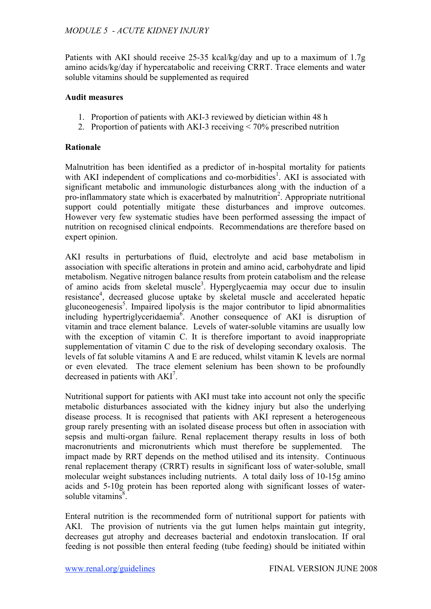Patients with AKI should receive 25-35 kcal/kg/day and up to a maximum of 1.7g amino acids/kg/day if hypercatabolic and receiving CRRT. Trace elements and water soluble vitamins should be supplemented as required

## **Audit measures**

- 1. Proportion of patients with AKI-3 reviewed by dietician within 48 h
- 2. Proportion of patients with AKI-3 receiving < 70% prescribed nutrition

## **Rationale**

Malnutrition has been identified as a predictor of in-hospital mortality for patients with AKI independent of complications and co-morbidities<sup>1</sup>. AKI is associated with significant metabolic and immunologic disturbances along with the induction of a pro-inflammatory state which is exacerbated by malnutrition<sup>2</sup>. Appropriate nutritional support could potentially mitigate these disturbances and improve outcomes. However very few systematic studies have been performed assessing the impact of nutrition on recognised clinical endpoints. Recommendations are therefore based on expert opinion.

AKI results in perturbations of fluid, electrolyte and acid base metabolism in association with specific alterations in protein and amino acid, carbohydrate and lipid metabolism. Negative nitrogen balance results from protein catabolism and the release of amino acids from skeletal muscle<sup>3</sup>. Hyperglycaemia may occur due to insulin resistance<sup>4</sup>, decreased glucose uptake by skeletal muscle and accelerated hepatic gluconeogenesis<sup>5</sup>. Impaired lipolysis is the major contributor to lipid abnormalities including hypertriglyceridaemia<sup>6</sup>. Another consequence of AKI is disruption of vitamin and trace element balance. Levels of water-soluble vitamins are usually low with the exception of vitamin C. It is therefore important to avoid inappropriate supplementation of vitamin C due to the risk of developing secondary oxalosis. The levels of fat soluble vitamins A and E are reduced, whilst vitamin K levels are normal or even elevated. The trace element selenium has been shown to be profoundly decreased in patients with  $AKI^7$ .

Nutritional support for patients with AKI must take into account not only the specific metabolic disturbances associated with the kidney injury but also the underlying disease process. It is recognised that patients with AKI represent a heterogeneous group rarely presenting with an isolated disease process but often in association with sepsis and multi-organ failure. Renal replacement therapy results in loss of both macronutrients and micronutrients which must therefore be supplemented. The impact made by RRT depends on the method utilised and its intensity. Continuous renal replacement therapy (CRRT) results in significant loss of water-soluble, small molecular weight substances including nutrients. A total daily loss of 10-15g amino acids and 5-10g protein has been reported along with significant losses of watersoluble vitamins<sup>8</sup>.

Enteral nutrition is the recommended form of nutritional support for patients with AKI. The provision of nutrients via the gut lumen helps maintain gut integrity, decreases gut atrophy and decreases bacterial and endotoxin translocation. If oral feeding is not possible then enteral feeding (tube feeding) should be initiated within